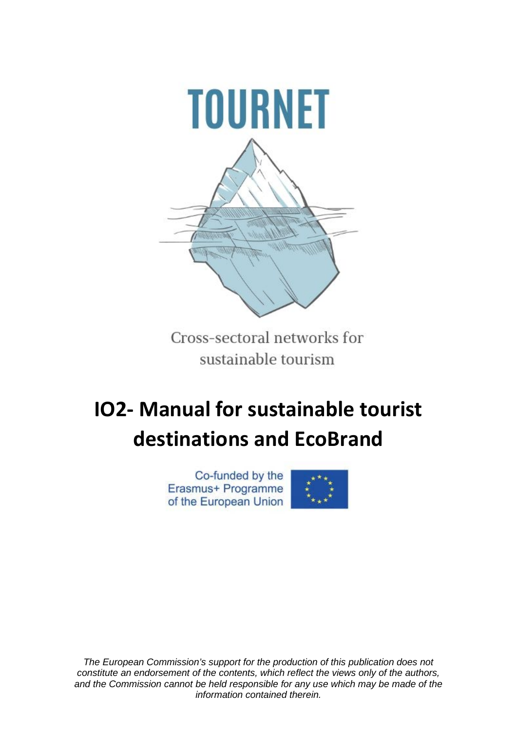

Cross-sectoral networks for sustainable tourism

# **IO2- Manual for sustainable tourist destinations and EcoBrand**

Co-funded by the Erasmus+ Programme of the European Union



*The European Commission's support for the production of this publication does not constitute an endorsement of the contents, which reflect the views only of the authors, and the Commission cannot be held responsible for any use which may be made of the information contained therein.*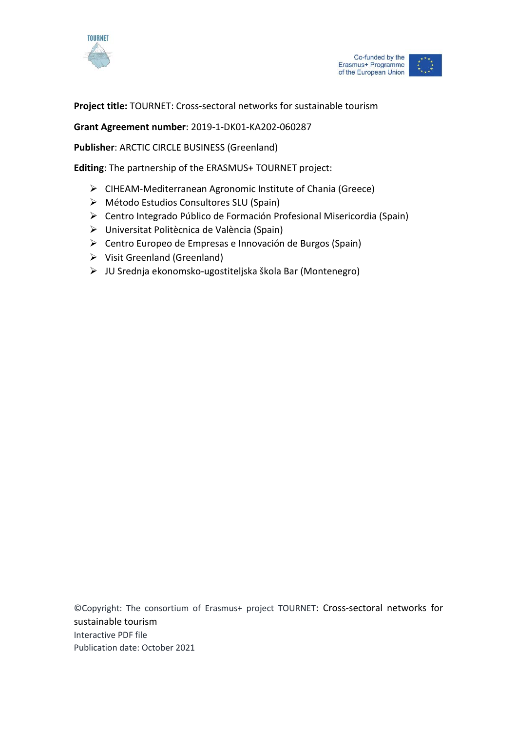



# **Project title:** TOURNET: Cross-sectoral networks for sustainable tourism

**Grant Agreement number**: 2019-1-DK01-KA202-060287

**Publisher**: ARCTIC CIRCLE BUSINESS (Greenland)

**Editing**: The partnership of the ERASMUS+ TOURNET project:

- CIHEAM-Mediterranean Agronomic Institute of Chania (Greece)
- Método Estudios Consultores SLU (Spain)
- Centro Integrado Público de Formación Profesional Misericordia (Spain)
- Universitat Politècnica de València (Spain)
- Centro Europeo de Empresas e Innovación de Burgos (Spain)
- $\triangleright$  Visit Greenland (Greenland)
- JU Srednja ekonomsko-ugostiteljska škola Bar (Montenegro)

©Copyright: The consortium of Erasmus+ project TOURNET: Cross-sectoral networks for sustainable tourism Interactive PDF file Publication date: October 2021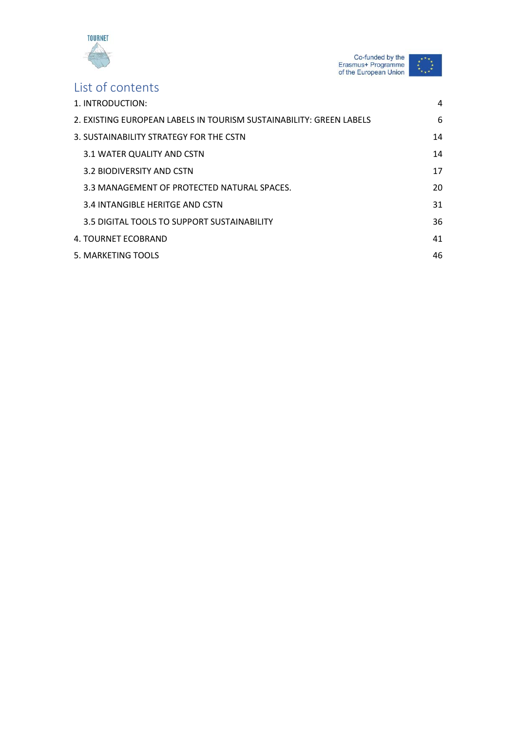

Co-funded by the<br>Erasmus+ Programme<br>of the European Union  $\star$ 

# List of contents

| 1. INTRODUCTION:                                                    | 4  |
|---------------------------------------------------------------------|----|
| 2. EXISTING EUROPEAN LABELS IN TOURISM SUSTAINABILITY: GREEN LABELS | 6  |
| 3. SUSTAINABILITY STRATEGY FOR THE CSTN                             | 14 |
| 3.1 WATER QUALITY AND CSTN                                          | 14 |
| 3.2 BIODIVERSITY AND CSTN                                           | 17 |
| 3.3 MANAGEMENT OF PROTECTED NATURAL SPACES.                         | 20 |
| 3.4 INTANGIBLE HERITGE AND CSTN                                     | 31 |
| 3.5 DIGITAL TOOLS TO SUPPORT SUSTAINABILITY                         | 36 |
| 4. TOURNET ECOBRAND                                                 | 41 |
| 5. MARKETING TOOLS                                                  | 46 |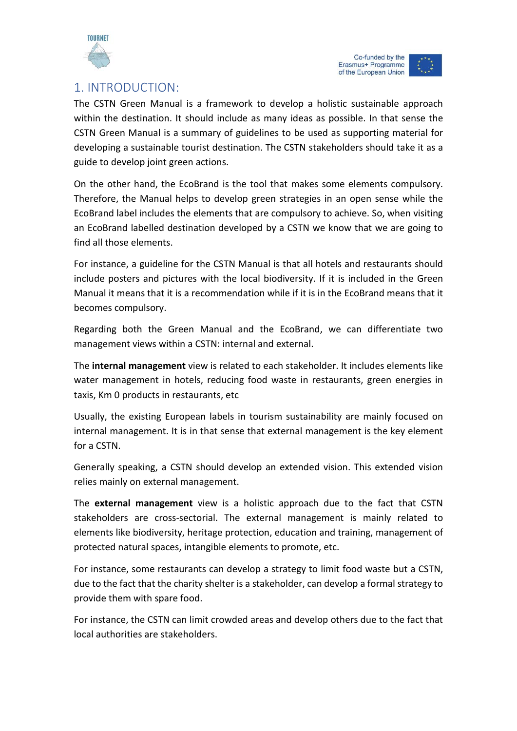

# <span id="page-3-0"></span>1. INTRODUCTION:

The CSTN Green Manual is a framework to develop a holistic sustainable approach within the destination. It should include as many ideas as possible. In that sense the CSTN Green Manual is a summary of guidelines to be used as supporting material for developing a sustainable tourist destination. The CSTN stakeholders should take it as a guide to develop joint green actions.

On the other hand, the EcoBrand is the tool that makes some elements compulsory. Therefore, the Manual helps to develop green strategies in an open sense while the EcoBrand label includes the elements that are compulsory to achieve. So, when visiting an EcoBrand labelled destination developed by a CSTN we know that we are going to find all those elements.

For instance, a guideline for the CSTN Manual is that all hotels and restaurants should include posters and pictures with the local biodiversity. If it is included in the Green Manual it means that it is a recommendation while if it is in the EcoBrand means that it becomes compulsory.

Regarding both the Green Manual and the EcoBrand, we can differentiate two management views within a CSTN: internal and external.

The **internal management** view is related to each stakeholder. It includes elements like water management in hotels, reducing food waste in restaurants, green energies in taxis, Km 0 products in restaurants, etc

Usually, the existing European labels in tourism sustainability are mainly focused on internal management. It is in that sense that external management is the key element for a CSTN.

Generally speaking, a CSTN should develop an extended vision. This extended vision relies mainly on external management.

The **external management** view is a holistic approach due to the fact that CSTN stakeholders are cross-sectorial. The external management is mainly related to elements like biodiversity, heritage protection, education and training, management of protected natural spaces, intangible elements to promote, etc.

For instance, some restaurants can develop a strategy to limit food waste but a CSTN, due to the fact that the charity shelter is a stakeholder, can develop a formal strategy to provide them with spare food.

For instance, the CSTN can limit crowded areas and develop others due to the fact that local authorities are stakeholders.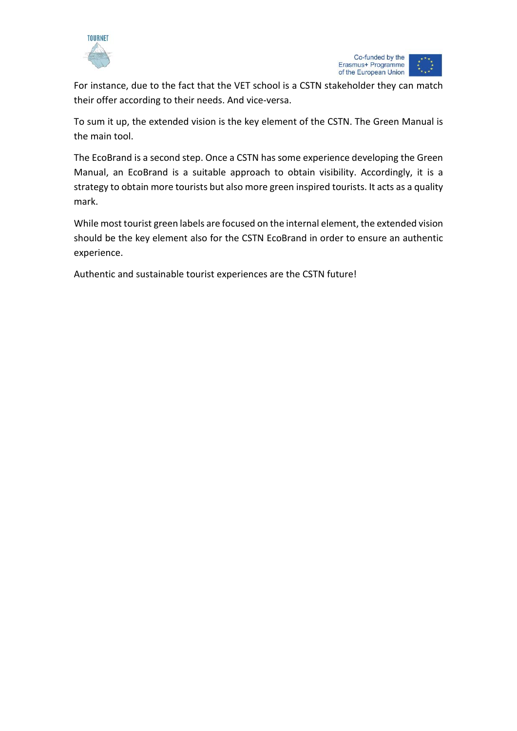



For instance, due to the fact that the VET school is a CSTN stakeholder they can match their offer according to their needs. And vice-versa.

To sum it up, the extended vision is the key element of the CSTN. The Green Manual is the main tool.

The EcoBrand is a second step. Once a CSTN has some experience developing the Green Manual, an EcoBrand is a suitable approach to obtain visibility. Accordingly, it is a strategy to obtain more tourists but also more green inspired tourists. It acts as a quality mark.

While most tourist green labels are focused on the internal element, the extended vision should be the key element also for the CSTN EcoBrand in order to ensure an authentic experience.

Authentic and sustainable tourist experiences are the CSTN future!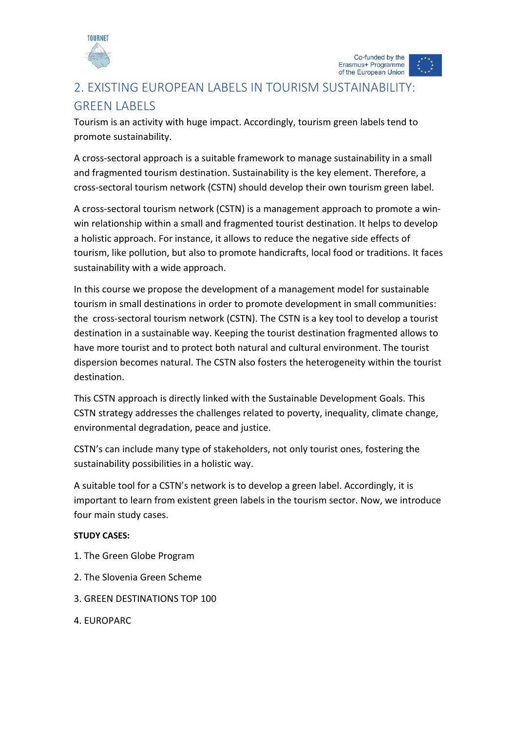

# <span id="page-5-0"></span>2. EXISTING EUROPEAN LABELS IN TOURISM SUSTAINABILITY: GREEN LABELS

Tourism is an activity with huge impact. Accordingly, tourism green labels tend to promote sustainability.

A cross-sectoral approach is a suitable framework to manage sustainability in a small and fragmented tourism destination. Sustainability is the key element. Therefore, a cross-sectoral tourism network (CSTN) should develop their own tourism green label.

A cross-sectoral tourism network (CSTN) is a management approach to promote a winwin relationship within a small and fragmented tourist destination. It helps to develop a holistic approach. For instance, it allows to reduce the negative side effects of tourism, like pollution, but also to promote handicrafts, local food or traditions. It faces sustainability with a wide approach.

In this course we propose the development of a management model for sustainable tourism in small destinations in order to promote development in small communities: the cross-sectoral tourism network (CSTN). The CSTN is a key tool to develop a tourist destination in a sustainable way. Keeping the tourist destination fragmented allows to have more tourist and to protect both natural and cultural environment. The tourist dispersion becomes natural. The CSTN also fosters the heterogeneity within the tourist destination.

This CSTN approach is directly linked with the Sustainable Development Goals. This CSTN strategy addresses the challenges related to poverty, inequality, climate change, environmental degradation, peace and justice.

CSTN's can include many type of stakeholders, not only tourist ones, fostering the sustainability possibilities in a holistic way.

A suitable tool for a CSTN's network is to develop a green label. Accordingly, it is important to learn from existent green labels in the tourism sector. Now, we introduce four main study cases.

# **STUDY CASES:**

- 1. The Green Globe Program
- 2. The Slovenia Green Scheme
- 3. GREEN DESTINATIONS TOP 100
- 4. EUROPARC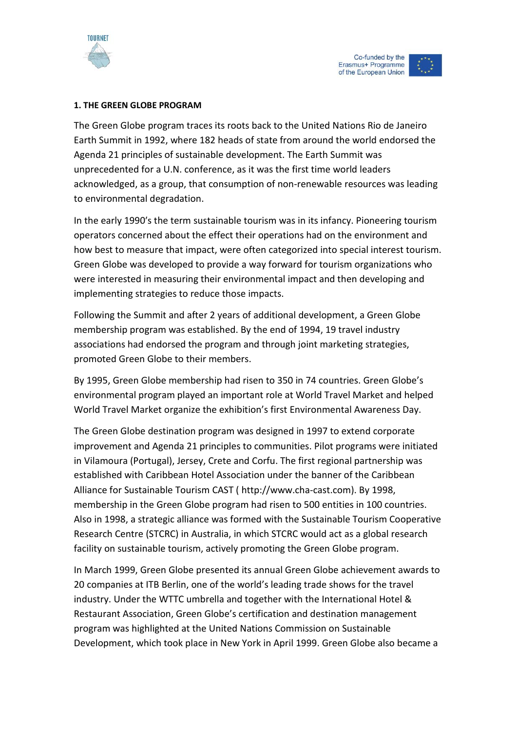

#### **1. THE GREEN GLOBE PROGRAM**

The Green Globe program traces its roots back to the United Nations Rio de Janeiro Earth Summit in 1992, where 182 heads of state from around the world endorsed the Agenda 21 principles of sustainable development. The Earth Summit was unprecedented for a U.N. conference, as it was the first time world leaders acknowledged, as a group, that consumption of non-renewable resources was leading to environmental degradation.

In the early 1990′s the term sustainable tourism was in its infancy. Pioneering tourism operators concerned about the effect their operations had on the environment and how best to measure that impact, were often categorized into special interest tourism. Green Globe was developed to provide a way forward for tourism organizations who were interested in measuring their environmental impact and then developing and implementing strategies to reduce those impacts.

Following the Summit and after 2 years of additional development, a Green Globe membership program was established. By the end of 1994, 19 travel industry associations had endorsed the program and through joint marketing strategies, promoted Green Globe to their members.

By 1995, Green Globe membership had risen to 350 in 74 countries. Green Globe's environmental program played an important role at World Travel Market and helped World Travel Market organize the exhibition's first Environmental Awareness Day.

The Green Globe destination program was designed in 1997 to extend corporate improvement and Agenda 21 principles to communities. Pilot programs were initiated in Vilamoura (Portugal), Jersey, Crete and Corfu. The first regional partnership was established with Caribbean Hotel Association under the banner of the Caribbean Alliance for Sustainable Tourism CAST ( http://www.cha-cast.com). By 1998, membership in the Green Globe program had risen to 500 entities in 100 countries. Also in 1998, a strategic alliance was formed with the Sustainable Tourism Cooperative Research Centre (STCRC) in Australia, in which STCRC would act as a global research facility on sustainable tourism, actively promoting the Green Globe program.

In March 1999, Green Globe presented its annual Green Globe achievement awards to 20 companies at ITB Berlin, one of the world's leading trade shows for the travel industry. Under the WTTC umbrella and together with the International Hotel & Restaurant Association, Green Globe's certification and destination management program was highlighted at the United Nations Commission on Sustainable Development, which took place in New York in April 1999. Green Globe also became a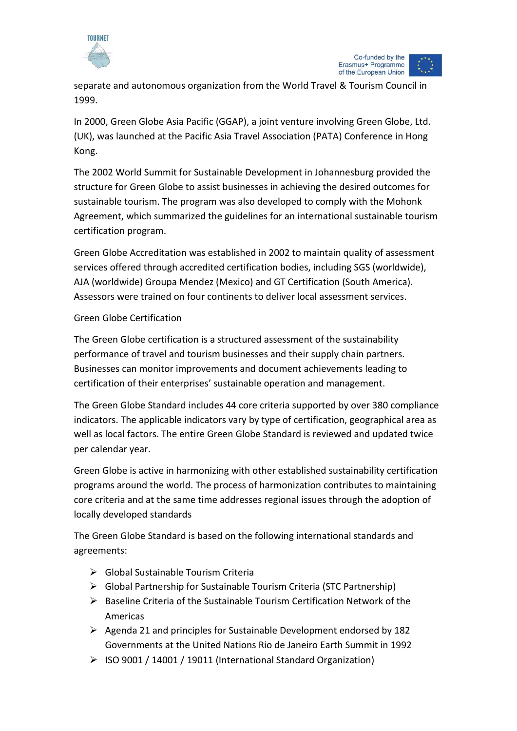



separate and autonomous organization from the World Travel & Tourism Council in 1999.

In 2000, Green Globe Asia Pacific (GGAP), a joint venture involving Green Globe, Ltd. (UK), was launched at the Pacific Asia Travel Association (PATA) Conference in Hong Kong.

The 2002 World Summit for Sustainable Development in Johannesburg provided the structure for Green Globe to assist businesses in achieving the desired outcomes for sustainable tourism. The program was also developed to comply with the Mohonk Agreement, which summarized the guidelines for an international sustainable tourism certification program.

Green Globe Accreditation was established in 2002 to maintain quality of assessment services offered through accredited certification bodies, including SGS (worldwide), AJA (worldwide) Groupa Mendez (Mexico) and GT Certification (South America). Assessors were trained on four continents to deliver local assessment services.

# Green Globe Certification

The Green Globe certification is a structured assessment of the sustainability performance of travel and tourism businesses and their supply chain partners. Businesses can monitor improvements and document achievements leading to certification of their enterprises' sustainable operation and management.

The Green Globe Standard includes 44 core criteria supported by over 380 compliance indicators. The applicable indicators vary by type of certification, geographical area as well as local factors. The entire Green Globe Standard is reviewed and updated twice per calendar year.

Green Globe is active in harmonizing with other established sustainability certification programs around the world. The process of harmonization contributes to maintaining core criteria and at the same time addresses regional issues through the adoption of locally developed standards

The Green Globe Standard is based on the following international standards and agreements:

- $\triangleright$  Global Sustainable Tourism Criteria
- $\triangleright$  Global Partnership for Sustainable Tourism Criteria (STC Partnership)
- $\triangleright$  Baseline Criteria of the Sustainable Tourism Certification Network of the Americas
- $\triangleright$  Agenda 21 and principles for Sustainable Development endorsed by 182 Governments at the United Nations Rio de Janeiro Earth Summit in 1992
- $\triangleright$  ISO 9001 / 14001 / 19011 (International Standard Organization)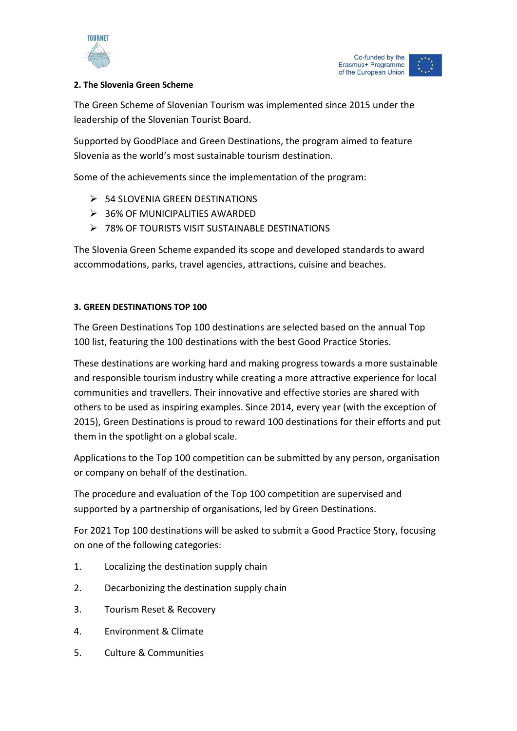



# **2. The Slovenia Green Scheme**

The Green Scheme of Slovenian Tourism was implemented since 2015 under the leadership of the Slovenian Tourist Board.

Supported by GoodPlace and Green Destinations, the program aimed to feature Slovenia as the world's most sustainable tourism destination.

Some of the achievements since the implementation of the program:

- $\geq$  54 SLOVENIA GREEN DESTINATIONS
- > 36% OF MUNICIPALITIES AWARDED
- ▶ 78% OF TOURISTS VISIT SUSTAINABLE DESTINATIONS

The Slovenia Green Scheme expanded its scope and developed standards to award accommodations, parks, travel agencies, attractions, cuisine and beaches.

# **3. GREEN DESTINATIONS TOP 100**

The Green Destinations Top 100 destinations are selected based on the annual Top 100 list, featuring the 100 destinations with the best Good Practice Stories.

These destinations are working hard and making progress towards a more sustainable and responsible tourism industry while creating a more attractive experience for local communities and travellers. Their innovative and effective stories are shared with others to be used as inspiring examples. Since 2014, every year (with the exception of 2015), Green Destinations is proud to reward 100 destinations for their efforts and put them in the spotlight on a global scale.

Applications to the Top 100 competition can be submitted by any person, organisation or company on behalf of the destination.

The procedure and evaluation of the Top 100 competition are supervised and supported by a partnership of organisations, led by Green Destinations.

For 2021 Top 100 destinations will be asked to submit a Good Practice Story, focusing on one of the following categories:

- 1. Localizing the destination supply chain
- 2. Decarbonizing the destination supply chain
- 3. Tourism Reset & Recovery
- 4. Environment & Climate
- 5. Culture & Communities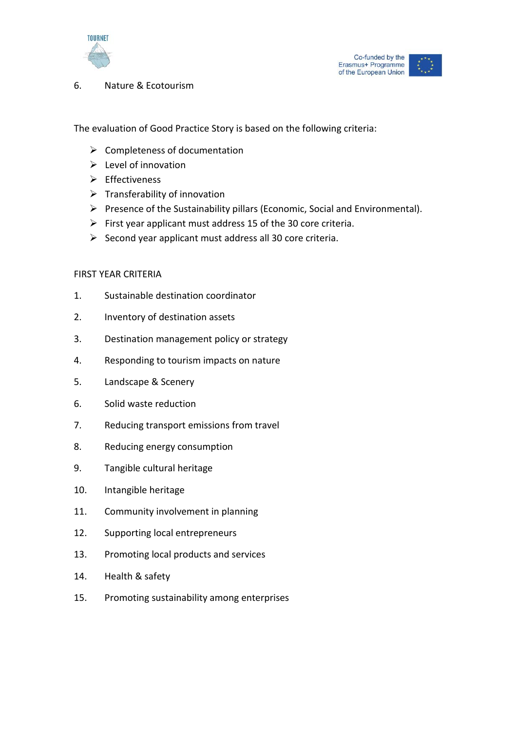



6. Nature & Ecotourism

The evaluation of Good Practice Story is based on the following criteria:

- $\triangleright$  Completeness of documentation
- $\triangleright$  Level of innovation
- $\triangleright$  Effectiveness
- $\triangleright$  Transferability of innovation
- $\triangleright$  Presence of the Sustainability pillars (Economic, Social and Environmental).
- $\triangleright$  First year applicant must address 15 of the 30 core criteria.
- $\triangleright$  Second year applicant must address all 30 core criteria.

## FIRST YEAR CRITERIA

- 1. Sustainable destination coordinator
- 2. Inventory of destination assets
- 3. Destination management policy or strategy
- 4. Responding to tourism impacts on nature
- 5. Landscape & Scenery
- 6. Solid waste reduction
- 7. Reducing transport emissions from travel
- 8. Reducing energy consumption
- 9. Tangible cultural heritage
- 10. Intangible heritage
- 11. Community involvement in planning
- 12. Supporting local entrepreneurs
- 13. Promoting local products and services
- 14. Health & safety
- 15. Promoting sustainability among enterprises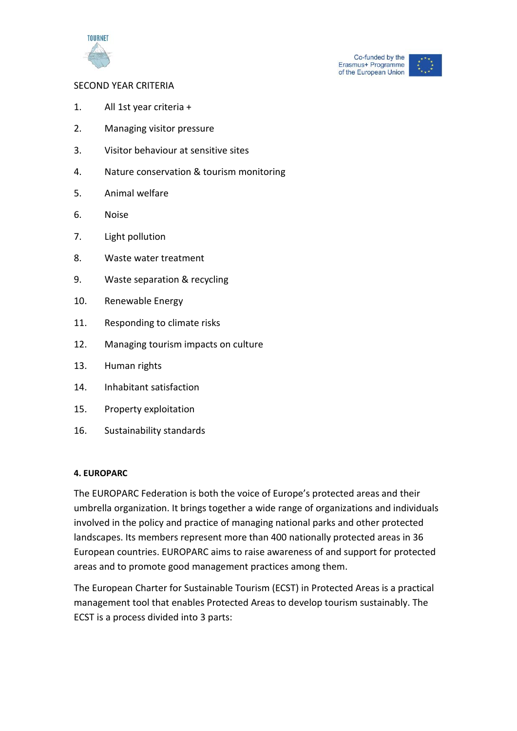



## SECOND YEAR CRITERIA

- 1. All 1st year criteria +
- 2. Managing visitor pressure
- 3. Visitor behaviour at sensitive sites
- 4. Nature conservation & tourism monitoring
- 5. Animal welfare
- 6. Noise
- 7. Light pollution
- 8. Waste water treatment
- 9. Waste separation & recycling
- 10. Renewable Energy
- 11. Responding to climate risks
- 12. Managing tourism impacts on culture
- 13. Human rights
- 14. Inhabitant satisfaction
- 15. Property exploitation
- 16. Sustainability standards

#### **4. EUROPARC**

The EUROPARC Federation is both the voice of Europe's protected areas and their umbrella organization. It brings together a wide range of organizations and individuals involved in the policy and practice of managing national parks and other protected landscapes. Its members represent more than 400 nationally protected areas in 36 European countries. EUROPARC aims to raise awareness of and support for protected areas and to promote good management practices among them.

The European Charter for Sustainable Tourism (ECST) in Protected Areas is a practical management tool that enables Protected Areas to develop tourism sustainably. The ECST is a process divided into 3 parts: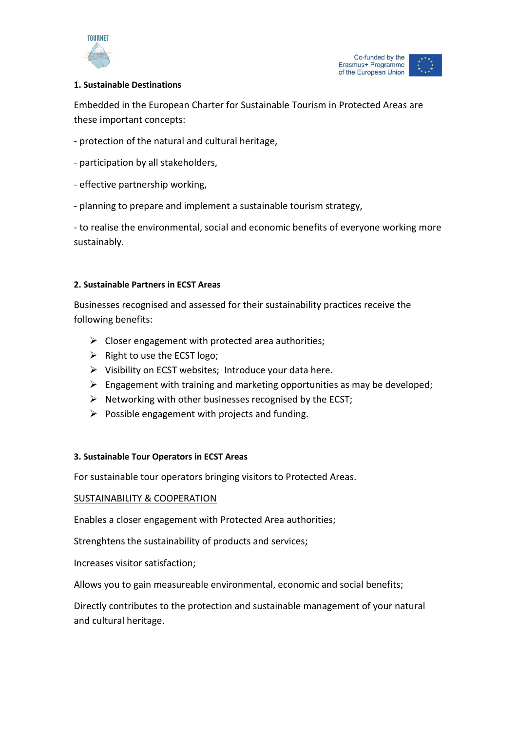



# **1. Sustainable Destinations**

Embedded in the European Charter for Sustainable Tourism in Protected Areas are these important concepts:

- protection of the natural and cultural heritage,
- participation by all stakeholders,
- effective partnership working,
- planning to prepare and implement a sustainable tourism strategy,

- to realise the environmental, social and economic benefits of everyone working more sustainably.

## **2. Sustainable Partners in ECST Areas**

Businesses recognised and assessed for their sustainability practices receive the following benefits:

- $\triangleright$  Closer engagement with protected area authorities;
- $\triangleright$  Right to use the ECST logo;
- $\triangleright$  Visibility on ECST websites; Introduce your data here.
- $\triangleright$  Engagement with training and marketing opportunities as may be developed;
- $\triangleright$  Networking with other businesses recognised by the ECST;
- $\triangleright$  Possible engagement with projects and funding.

#### **3. Sustainable Tour Operators in ECST Areas**

For sustainable tour operators bringing visitors to Protected Areas.

# SUSTAINABILITY & COOPERATION

Enables a closer engagement with Protected Area authorities;

Strenghtens the sustainability of products and services;

Increases visitor satisfaction;

Allows you to gain measureable environmental, economic and social benefits;

Directly contributes to the protection and sustainable management of your natural and cultural heritage.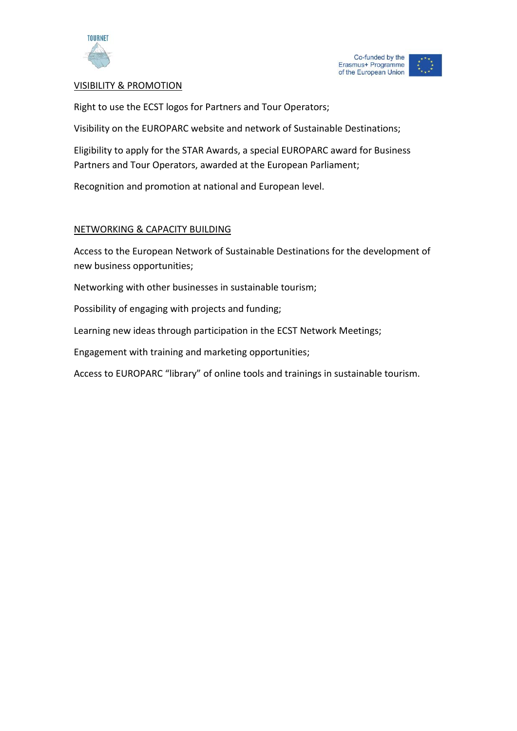



# VISIBILITY & PROMOTION

Right to use the ECST logos for Partners and Tour Operators;

Visibility on the EUROPARC website and network of Sustainable Destinations;

Eligibility to apply for the STAR Awards, a special EUROPARC award for Business Partners and Tour Operators, awarded at the European Parliament;

Recognition and promotion at national and European level.

## NETWORKING & CAPACITY BUILDING

Access to the European Network of Sustainable Destinations for the development of new business opportunities;

Networking with other businesses in sustainable tourism;

Possibility of engaging with projects and funding;

Learning new ideas through participation in the ECST Network Meetings;

Engagement with training and marketing opportunities;

Access to EUROPARC "library" of online tools and trainings in sustainable tourism.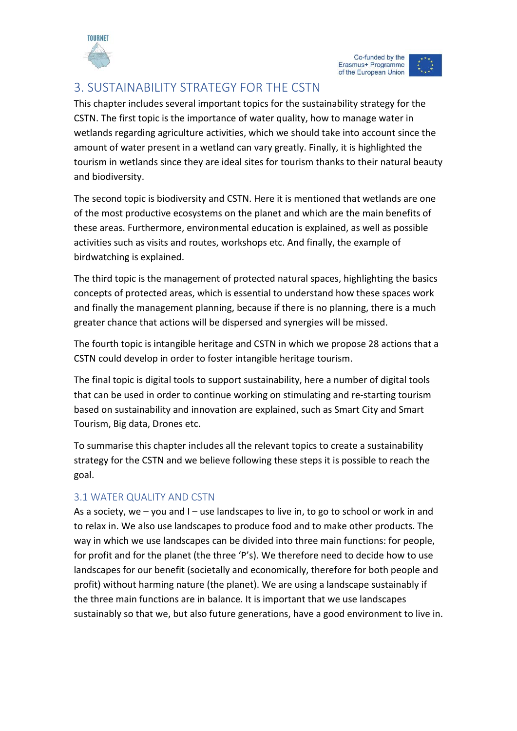

Co-funded by the Erasmus+ Programme of the European Union

# <span id="page-13-0"></span>3. SUSTAINABILITY STRATEGY FOR THE CSTN

This chapter includes several important topics for the sustainability strategy for the CSTN. The first topic is the importance of water quality, how to manage water in wetlands regarding agriculture activities, which we should take into account since the amount of water present in a wetland can vary greatly. Finally, it is highlighted the tourism in wetlands since they are ideal sites for tourism thanks to their natural beauty and biodiversity.

The second topic is biodiversity and CSTN. Here it is mentioned that wetlands are one of the most productive ecosystems on the planet and which are the main benefits of these areas. Furthermore, environmental education is explained, as well as possible activities such as visits and routes, workshops etc. And finally, the example of birdwatching is explained.

The third topic is the management of protected natural spaces, highlighting the basics concepts of protected areas, which is essential to understand how these spaces work and finally the management planning, because if there is no planning, there is a much greater chance that actions will be dispersed and synergies will be missed.

The fourth topic is intangible heritage and CSTN in which we propose 28 actions that a CSTN could develop in order to foster intangible heritage tourism.

The final topic is digital tools to support sustainability, here a number of digital tools that can be used in order to continue working on stimulating and re-starting tourism based on sustainability and innovation are explained, such as Smart City and Smart Tourism, Big data, Drones etc.

To summarise this chapter includes all the relevant topics to create a sustainability strategy for the CSTN and we believe following these steps it is possible to reach the goal.

# <span id="page-13-1"></span>3.1 WATER QUALITY AND CSTN

As a society, we  $-$  you and  $I -$  use landscapes to live in, to go to school or work in and to relax in. We also use landscapes to produce food and to make other products. The way in which we use landscapes can be divided into three main functions: for people, for profit and for the planet (the three 'P's). We therefore need to decide how to use landscapes for our benefit (societally and economically, therefore for both people and profit) without harming nature (the planet). We are using a landscape sustainably if the three main functions are in balance. It is important that we use landscapes sustainably so that we, but also future generations, have a good environment to live in.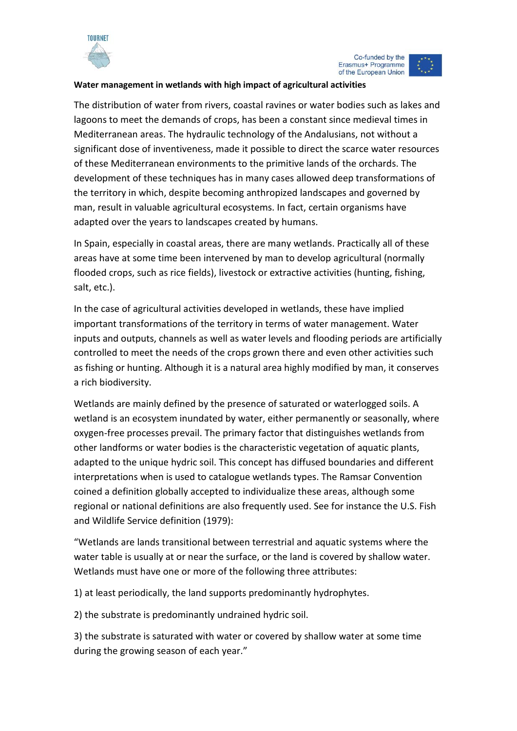

# **Water management in wetlands with high impact of agricultural activities**

The distribution of water from rivers, coastal ravines or water bodies such as lakes and lagoons to meet the demands of crops, has been a constant since medieval times in Mediterranean areas. The hydraulic technology of the Andalusians, not without a significant dose of inventiveness, made it possible to direct the scarce water resources of these Mediterranean environments to the primitive lands of the orchards. The development of these techniques has in many cases allowed deep transformations of the territory in which, despite becoming anthropized landscapes and governed by man, result in valuable agricultural ecosystems. In fact, certain organisms have adapted over the years to landscapes created by humans.

In Spain, especially in coastal areas, there are many wetlands. Practically all of these areas have at some time been intervened by man to develop agricultural (normally flooded crops, such as rice fields), livestock or extractive activities (hunting, fishing, salt, etc.).

In the case of agricultural activities developed in wetlands, these have implied important transformations of the territory in terms of water management. Water inputs and outputs, channels as well as water levels and flooding periods are artificially controlled to meet the needs of the crops grown there and even other activities such as fishing or hunting. Although it is a natural area highly modified by man, it conserves a rich biodiversity.

Wetlands are mainly defined by the presence of saturated or waterlogged soils. A wetland is an ecosystem inundated by water, either permanently or seasonally, where oxygen-free processes prevail. The primary factor that distinguishes wetlands from other landforms or water bodies is the characteristic vegetation of aquatic plants, adapted to the unique hydric soil. This concept has diffused boundaries and different interpretations when is used to catalogue wetlands types. The Ramsar Convention coined a definition globally accepted to individualize these areas, although some regional or national definitions are also frequently used. See for instance the U.S. Fish and Wildlife Service definition (1979):

"Wetlands are lands transitional between terrestrial and aquatic systems where the water table is usually at or near the surface, or the land is covered by shallow water. Wetlands must have one or more of the following three attributes:

1) at least periodically, the land supports predominantly hydrophytes.

2) the substrate is predominantly undrained hydric soil.

3) the substrate is saturated with water or covered by shallow water at some time during the growing season of each year."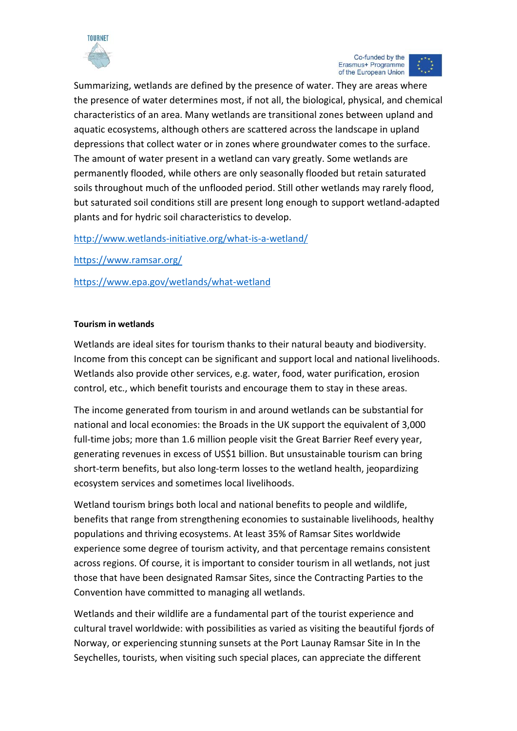

Summarizing, wetlands are defined by the presence of water. They are areas where the presence of water determines most, if not all, the biological, physical, and chemical characteristics of an area. Many wetlands are transitional zones between upland and aquatic ecosystems, although others are scattered across the landscape in upland depressions that collect water or in zones where groundwater comes to the surface. The amount of water present in a wetland can vary greatly. Some wetlands are permanently flooded, while others are only seasonally flooded but retain saturated soils throughout much of the unflooded period. Still other wetlands may rarely flood, but saturated soil conditions still are present long enough to support wetland-adapted plants and for hydric soil characteristics to develop.

# <http://www.wetlands-initiative.org/what-is-a-wetland/>

<https://www.ramsar.org/>

<https://www.epa.gov/wetlands/what-wetland>

## **Tourism in wetlands**

Wetlands are ideal sites for tourism thanks to their natural beauty and biodiversity. Income from this concept can be significant and support local and national livelihoods. Wetlands also provide other services, e.g. water, food, water purification, erosion control, etc., which benefit tourists and encourage them to stay in these areas.

The income generated from tourism in and around wetlands can be substantial for national and local economies: the Broads in the UK support the equivalent of 3,000 full-time jobs; more than 1.6 million people visit the Great Barrier Reef every year, generating revenues in excess of US\$1 billion. But unsustainable tourism can bring short-term benefits, but also long-term losses to the wetland health, jeopardizing ecosystem services and sometimes local livelihoods.

Wetland tourism brings both local and national benefits to people and wildlife, benefits that range from strengthening economies to sustainable livelihoods, healthy populations and thriving ecosystems. At least 35% of Ramsar Sites worldwide experience some degree of tourism activity, and that percentage remains consistent across regions. Of course, it is important to consider tourism in all wetlands, not just those that have been designated Ramsar Sites, since the Contracting Parties to the Convention have committed to managing all wetlands.

Wetlands and their wildlife are a fundamental part of the tourist experience and cultural travel worldwide: with possibilities as varied as visiting the beautiful fjords of Norway, or experiencing stunning sunsets at the Port Launay Ramsar Site in In the Seychelles, tourists, when visiting such special places, can appreciate the different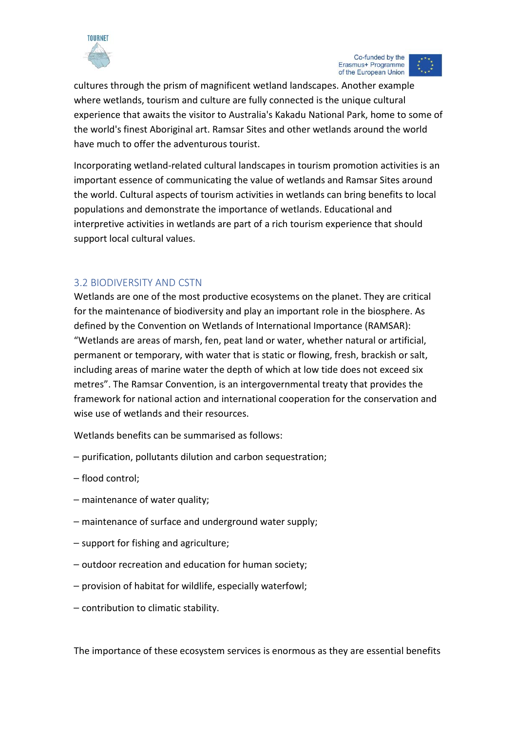



cultures through the prism of magnificent wetland landscapes. Another example where wetlands, tourism and culture are fully connected is the unique cultural experience that awaits the visitor to Australia's Kakadu National Park, home to some of the world's finest Aboriginal art. Ramsar Sites and other wetlands around the world have much to offer the adventurous tourist.

Incorporating wetland-related cultural landscapes in tourism promotion activities is an important essence of communicating the value of wetlands and Ramsar Sites around the world. Cultural aspects of tourism activities in wetlands can bring benefits to local populations and demonstrate the importance of wetlands. Educational and interpretive activities in wetlands are part of a rich tourism experience that should support local cultural values.

# <span id="page-16-0"></span>3.2 BIODIVERSITY AND CSTN

Wetlands are one of the most productive ecosystems on the planet. They are critical for the maintenance of biodiversity and play an important role in the biosphere. As defined by the Convention on Wetlands of International Importance (RAMSAR): "Wetlands are areas of marsh, fen, peat land or water, whether natural or artificial, permanent or temporary, with water that is static or flowing, fresh, brackish or salt, including areas of marine water the depth of which at low tide does not exceed six metres". The Ramsar Convention, is an intergovernmental treaty that provides the framework for national action and international cooperation for the conservation and wise use of wetlands and their resources.

Wetlands benefits can be summarised as follows:

- purification, pollutants dilution and carbon sequestration;
- flood control;
- maintenance of water quality:
- $-$  maintenance of surface and underground water supply:
- ⎯ support for fishing and agriculture;
- $-$  outdoor recreation and education for human society;
- provision of habitat for wildlife, especially waterfowl;
- ⎯ contribution to climatic stability.

The importance of these ecosystem services is enormous as they are essential benefits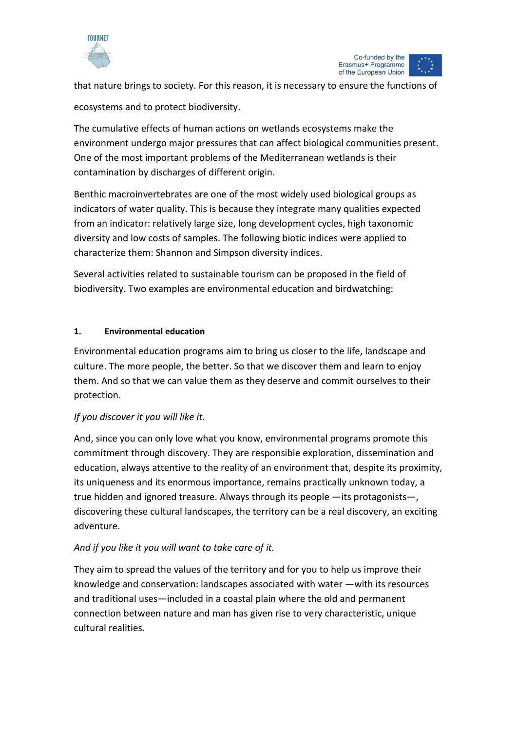



that nature brings to society. For this reason, it is necessary to ensure the functions of

ecosystems and to protect biodiversity.

The cumulative effects of human actions on wetlands ecosystems make the environment undergo major pressures that can affect biological communities present. One of the most important problems of the Mediterranean wetlands is their contamination by discharges of different origin.

Benthic macroinvertebrates are one of the most widely used biological groups as indicators of water quality. This is because they integrate many qualities expected from an indicator: relatively large size, long development cycles, high taxonomic diversity and low costs of samples. The following biotic indices were applied to characterize them: Shannon and Simpson diversity indices.

Several activities related to sustainable tourism can be proposed in the field of biodiversity. Two examples are environmental education and birdwatching:

# **1. Environmental education**

Environmental education programs aim to bring us closer to the life, landscape and culture. The more people, the better. So that we discover them and learn to enjoy them. And so that we can value them as they deserve and commit ourselves to their protection.

# *If you discover it you will like it.*

And, since you can only love what you know, environmental programs promote this commitment through discovery. They are responsible exploration, dissemination and education, always attentive to the reality of an environment that, despite its proximity, its uniqueness and its enormous importance, remains practically unknown today, a true hidden and ignored treasure. Always through its people —its protagonists—, discovering these cultural landscapes, the territory can be a real discovery, an exciting adventure.

# *And if you like it you will want to take care of it.*

They aim to spread the values of the territory and for you to help us improve their knowledge and conservation: landscapes associated with water —with its resources and traditional uses—included in a coastal plain where the old and permanent connection between nature and man has given rise to very characteristic, unique cultural realities.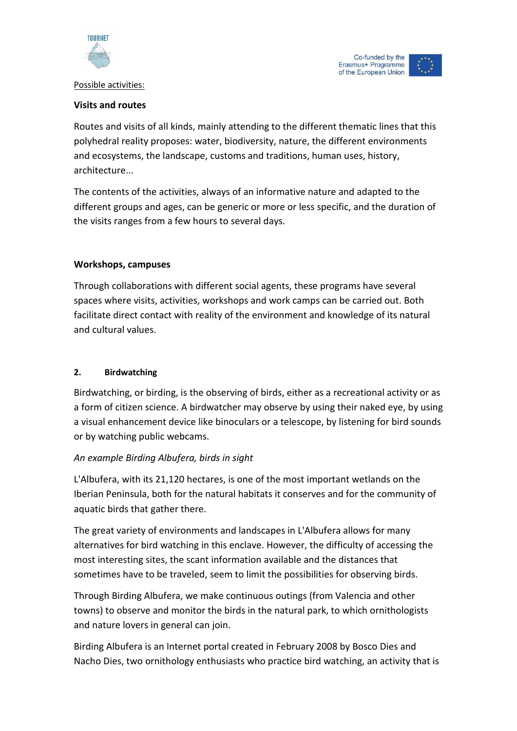

Possible activities:

#### Co-funded by the Erasmus+ Programme of the European Union

# **Visits and routes**

Routes and visits of all kinds, mainly attending to the different thematic lines that this polyhedral reality proposes: water, biodiversity, nature, the different environments and ecosystems, the landscape, customs and traditions, human uses, history, architecture...

The contents of the activities, always of an informative nature and adapted to the different groups and ages, can be generic or more or less specific, and the duration of the visits ranges from a few hours to several days.

# **Workshops, campuses**

Through collaborations with different social agents, these programs have several spaces where visits, activities, workshops and work camps can be carried out. Both facilitate direct contact with reality of the environment and knowledge of its natural and cultural values.

# **2. Birdwatching**

Birdwatching, or birding, is the observing of birds, either as a recreational activity or as a form of citizen science. A birdwatcher may observe by using their naked eye, by using a visual enhancement device like binoculars or a telescope, by listening for bird sounds or by watching public webcams.

# *An example Birding Albufera, birds in sight*

L'Albufera, with its 21,120 hectares, is one of the most important wetlands on the Iberian Peninsula, both for the natural habitats it conserves and for the community of aquatic birds that gather there.

The great variety of environments and landscapes in L'Albufera allows for many alternatives for bird watching in this enclave. However, the difficulty of accessing the most interesting sites, the scant information available and the distances that sometimes have to be traveled, seem to limit the possibilities for observing birds.

Through Birding Albufera, we make continuous outings (from Valencia and other towns) to observe and monitor the birds in the natural park, to which ornithologists and nature lovers in general can join.

Birding Albufera is an Internet portal created in February 2008 by Bosco Dies and Nacho Dies, two ornithology enthusiasts who practice bird watching, an activity that is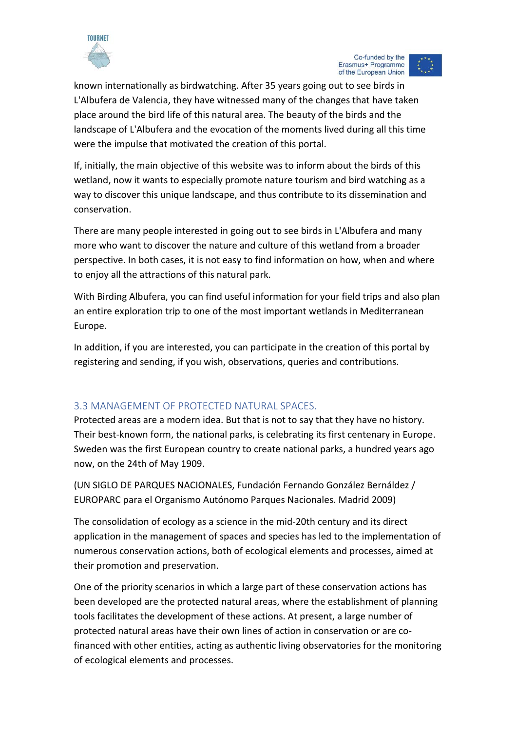

Co-funded by the Erasmus+ Programme of the European Union

known internationally as birdwatching. After 35 years going out to see birds in L'Albufera de Valencia, they have witnessed many of the changes that have taken place around the bird life of this natural area. The beauty of the birds and the landscape of L'Albufera and the evocation of the moments lived during all this time were the impulse that motivated the creation of this portal.

If, initially, the main objective of this website was to inform about the birds of this wetland, now it wants to especially promote nature tourism and bird watching as a way to discover this unique landscape, and thus contribute to its dissemination and conservation.

There are many people interested in going out to see birds in L'Albufera and many more who want to discover the nature and culture of this wetland from a broader perspective. In both cases, it is not easy to find information on how, when and where to enjoy all the attractions of this natural park.

With Birding Albufera, you can find useful information for your field trips and also plan an entire exploration trip to one of the most important wetlands in Mediterranean Europe.

In addition, if you are interested, you can participate in the creation of this portal by registering and sending, if you wish, observations, queries and contributions.

# <span id="page-19-0"></span>3.3 MANAGEMENT OF PROTECTED NATURAL SPACES.

Protected areas are a modern idea. But that is not to say that they have no history. Their best-known form, the national parks, is celebrating its first centenary in Europe. Sweden was the first European country to create national parks, a hundred years ago now, on the 24th of May 1909.

(UN SIGLO DE PARQUES NACIONALES, Fundación Fernando González Bernáldez / EUROPARC para el Organismo Autónomo Parques Nacionales. Madrid 2009)

The consolidation of ecology as a science in the mid-20th century and its direct application in the management of spaces and species has led to the implementation of numerous conservation actions, both of ecological elements and processes, aimed at their promotion and preservation.

One of the priority scenarios in which a large part of these conservation actions has been developed are the protected natural areas, where the establishment of planning tools facilitates the development of these actions. At present, a large number of protected natural areas have their own lines of action in conservation or are cofinanced with other entities, acting as authentic living observatories for the monitoring of ecological elements and processes.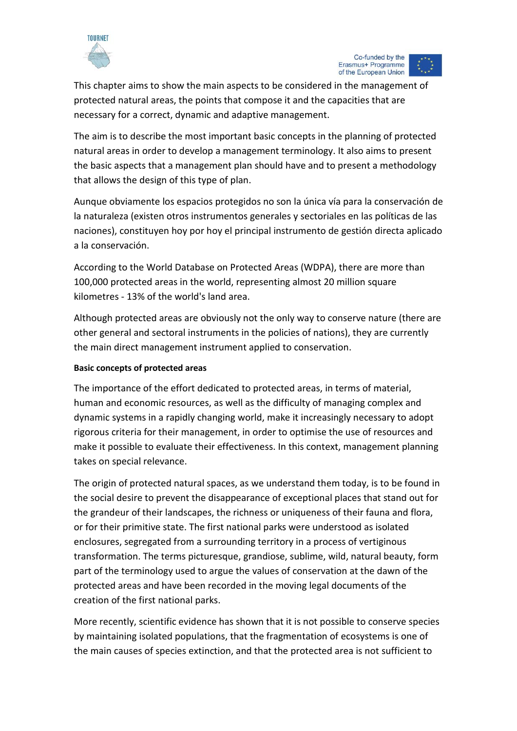

Co-funded by the Erasmus+ Programme of the European Union

This chapter aims to show the main aspects to be considered in the management of protected natural areas, the points that compose it and the capacities that are necessary for a correct, dynamic and adaptive management.

The aim is to describe the most important basic concepts in the planning of protected natural areas in order to develop a management terminology. It also aims to present the basic aspects that a management plan should have and to present a methodology that allows the design of this type of plan.

Aunque obviamente los espacios protegidos no son la única vía para la conservación de la naturaleza (existen otros instrumentos generales y sectoriales en las políticas de las naciones), constituyen hoy por hoy el principal instrumento de gestión directa aplicado a la conservación.

According to the World Database on Protected Areas (WDPA), there are more than 100,000 protected areas in the world, representing almost 20 million square kilometres - 13% of the world's land area.

Although protected areas are obviously not the only way to conserve nature (there are other general and sectoral instruments in the policies of nations), they are currently the main direct management instrument applied to conservation.

# **Basic concepts of protected areas**

The importance of the effort dedicated to protected areas, in terms of material, human and economic resources, as well as the difficulty of managing complex and dynamic systems in a rapidly changing world, make it increasingly necessary to adopt rigorous criteria for their management, in order to optimise the use of resources and make it possible to evaluate their effectiveness. In this context, management planning takes on special relevance.

The origin of protected natural spaces, as we understand them today, is to be found in the social desire to prevent the disappearance of exceptional places that stand out for the grandeur of their landscapes, the richness or uniqueness of their fauna and flora, or for their primitive state. The first national parks were understood as isolated enclosures, segregated from a surrounding territory in a process of vertiginous transformation. The terms picturesque, grandiose, sublime, wild, natural beauty, form part of the terminology used to argue the values of conservation at the dawn of the protected areas and have been recorded in the moving legal documents of the creation of the first national parks.

More recently, scientific evidence has shown that it is not possible to conserve species by maintaining isolated populations, that the fragmentation of ecosystems is one of the main causes of species extinction, and that the protected area is not sufficient to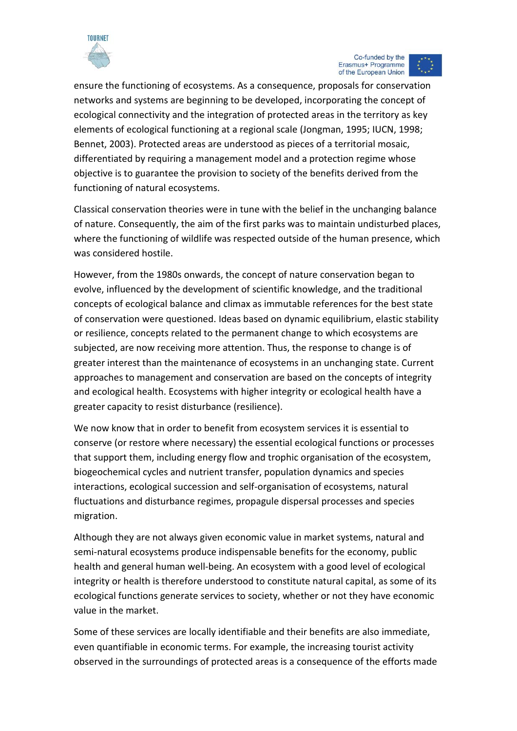

ensure the functioning of ecosystems. As a consequence, proposals for conservation networks and systems are beginning to be developed, incorporating the concept of ecological connectivity and the integration of protected areas in the territory as key elements of ecological functioning at a regional scale (Jongman, 1995; IUCN, 1998; Bennet, 2003). Protected areas are understood as pieces of a territorial mosaic, differentiated by requiring a management model and a protection regime whose objective is to guarantee the provision to society of the benefits derived from the functioning of natural ecosystems.

Classical conservation theories were in tune with the belief in the unchanging balance of nature. Consequently, the aim of the first parks was to maintain undisturbed places, where the functioning of wildlife was respected outside of the human presence, which was considered hostile.

However, from the 1980s onwards, the concept of nature conservation began to evolve, influenced by the development of scientific knowledge, and the traditional concepts of ecological balance and climax as immutable references for the best state of conservation were questioned. Ideas based on dynamic equilibrium, elastic stability or resilience, concepts related to the permanent change to which ecosystems are subjected, are now receiving more attention. Thus, the response to change is of greater interest than the maintenance of ecosystems in an unchanging state. Current approaches to management and conservation are based on the concepts of integrity and ecological health. Ecosystems with higher integrity or ecological health have a greater capacity to resist disturbance (resilience).

We now know that in order to benefit from ecosystem services it is essential to conserve (or restore where necessary) the essential ecological functions or processes that support them, including energy flow and trophic organisation of the ecosystem, biogeochemical cycles and nutrient transfer, population dynamics and species interactions, ecological succession and self-organisation of ecosystems, natural fluctuations and disturbance regimes, propagule dispersal processes and species migration.

Although they are not always given economic value in market systems, natural and semi-natural ecosystems produce indispensable benefits for the economy, public health and general human well-being. An ecosystem with a good level of ecological integrity or health is therefore understood to constitute natural capital, as some of its ecological functions generate services to society, whether or not they have economic value in the market.

Some of these services are locally identifiable and their benefits are also immediate, even quantifiable in economic terms. For example, the increasing tourist activity observed in the surroundings of protected areas is a consequence of the efforts made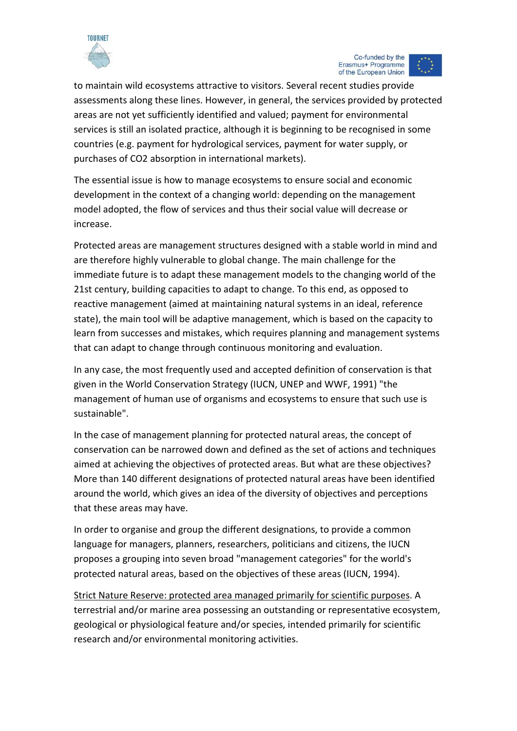

Co-funded by the Erasmus+ Programme of the European Union

to maintain wild ecosystems attractive to visitors. Several recent studies provide assessments along these lines. However, in general, the services provided by protected areas are not yet sufficiently identified and valued; payment for environmental services is still an isolated practice, although it is beginning to be recognised in some countries (e.g. payment for hydrological services, payment for water supply, or purchases of CO2 absorption in international markets).

The essential issue is how to manage ecosystems to ensure social and economic development in the context of a changing world: depending on the management model adopted, the flow of services and thus their social value will decrease or increase.

Protected areas are management structures designed with a stable world in mind and are therefore highly vulnerable to global change. The main challenge for the immediate future is to adapt these management models to the changing world of the 21st century, building capacities to adapt to change. To this end, as opposed to reactive management (aimed at maintaining natural systems in an ideal, reference state), the main tool will be adaptive management, which is based on the capacity to learn from successes and mistakes, which requires planning and management systems that can adapt to change through continuous monitoring and evaluation.

In any case, the most frequently used and accepted definition of conservation is that given in the World Conservation Strategy (IUCN, UNEP and WWF, 1991) "the management of human use of organisms and ecosystems to ensure that such use is sustainable".

In the case of management planning for protected natural areas, the concept of conservation can be narrowed down and defined as the set of actions and techniques aimed at achieving the objectives of protected areas. But what are these objectives? More than 140 different designations of protected natural areas have been identified around the world, which gives an idea of the diversity of objectives and perceptions that these areas may have.

In order to organise and group the different designations, to provide a common language for managers, planners, researchers, politicians and citizens, the IUCN proposes a grouping into seven broad "management categories" for the world's protected natural areas, based on the objectives of these areas (IUCN, 1994).

Strict Nature Reserve: protected area managed primarily for scientific purposes. A terrestrial and/or marine area possessing an outstanding or representative ecosystem, geological or physiological feature and/or species, intended primarily for scientific research and/or environmental monitoring activities.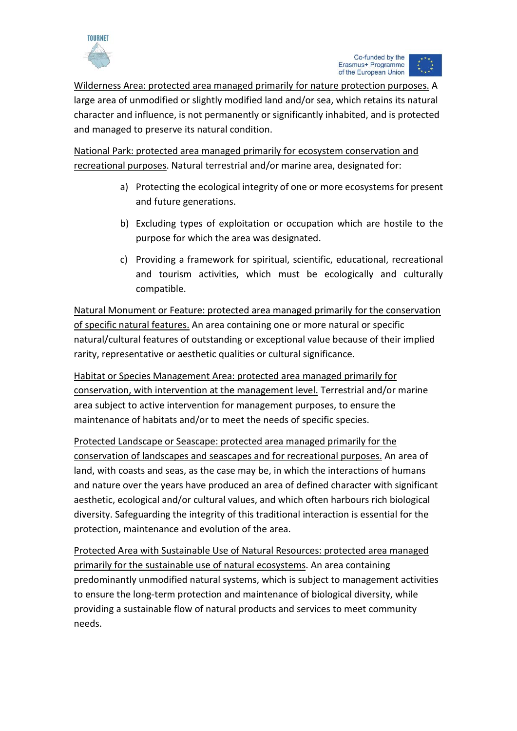

Wilderness Area: protected area managed primarily for nature protection purposes. A large area of unmodified or slightly modified land and/or sea, which retains its natural character and influence, is not permanently or significantly inhabited, and is protected and managed to preserve its natural condition.

National Park: protected area managed primarily for ecosystem conservation and recreational purposes. Natural terrestrial and/or marine area, designated for:

- a) Protecting the ecological integrity of one or more ecosystems for present and future generations.
- b) Excluding types of exploitation or occupation which are hostile to the purpose for which the area was designated.
- c) Providing a framework for spiritual, scientific, educational, recreational and tourism activities, which must be ecologically and culturally compatible.

Natural Monument or Feature: protected area managed primarily for the conservation of specific natural features. An area containing one or more natural or specific natural/cultural features of outstanding or exceptional value because of their implied rarity, representative or aesthetic qualities or cultural significance.

Habitat or Species Management Area: protected area managed primarily for conservation, with intervention at the management level. Terrestrial and/or marine area subject to active intervention for management purposes, to ensure the maintenance of habitats and/or to meet the needs of specific species.

Protected Landscape or Seascape: protected area managed primarily for the conservation of landscapes and seascapes and for recreational purposes. An area of land, with coasts and seas, as the case may be, in which the interactions of humans and nature over the years have produced an area of defined character with significant aesthetic, ecological and/or cultural values, and which often harbours rich biological diversity. Safeguarding the integrity of this traditional interaction is essential for the protection, maintenance and evolution of the area.

Protected Area with Sustainable Use of Natural Resources: protected area managed primarily for the sustainable use of natural ecosystems. An area containing predominantly unmodified natural systems, which is subject to management activities to ensure the long-term protection and maintenance of biological diversity, while providing a sustainable flow of natural products and services to meet community needs.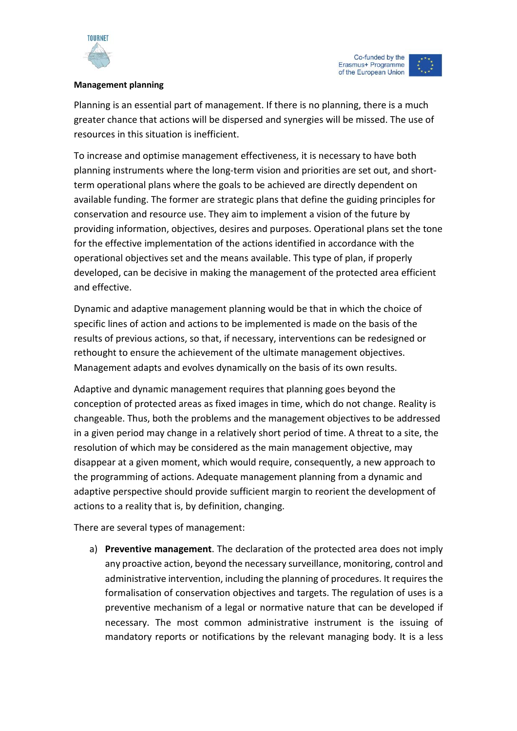

## **Management planning**

Planning is an essential part of management. If there is no planning, there is a much greater chance that actions will be dispersed and synergies will be missed. The use of resources in this situation is inefficient.

To increase and optimise management effectiveness, it is necessary to have both planning instruments where the long-term vision and priorities are set out, and shortterm operational plans where the goals to be achieved are directly dependent on available funding. The former are strategic plans that define the guiding principles for conservation and resource use. They aim to implement a vision of the future by providing information, objectives, desires and purposes. Operational plans set the tone for the effective implementation of the actions identified in accordance with the operational objectives set and the means available. This type of plan, if properly developed, can be decisive in making the management of the protected area efficient and effective.

Dynamic and adaptive management planning would be that in which the choice of specific lines of action and actions to be implemented is made on the basis of the results of previous actions, so that, if necessary, interventions can be redesigned or rethought to ensure the achievement of the ultimate management objectives. Management adapts and evolves dynamically on the basis of its own results.

Adaptive and dynamic management requires that planning goes beyond the conception of protected areas as fixed images in time, which do not change. Reality is changeable. Thus, both the problems and the management objectives to be addressed in a given period may change in a relatively short period of time. A threat to a site, the resolution of which may be considered as the main management objective, may disappear at a given moment, which would require, consequently, a new approach to the programming of actions. Adequate management planning from a dynamic and adaptive perspective should provide sufficient margin to reorient the development of actions to a reality that is, by definition, changing.

There are several types of management:

a) **Preventive management**. The declaration of the protected area does not imply any proactive action, beyond the necessary surveillance, monitoring, control and administrative intervention, including the planning of procedures. It requires the formalisation of conservation objectives and targets. The regulation of uses is a preventive mechanism of a legal or normative nature that can be developed if necessary. The most common administrative instrument is the issuing of mandatory reports or notifications by the relevant managing body. It is a less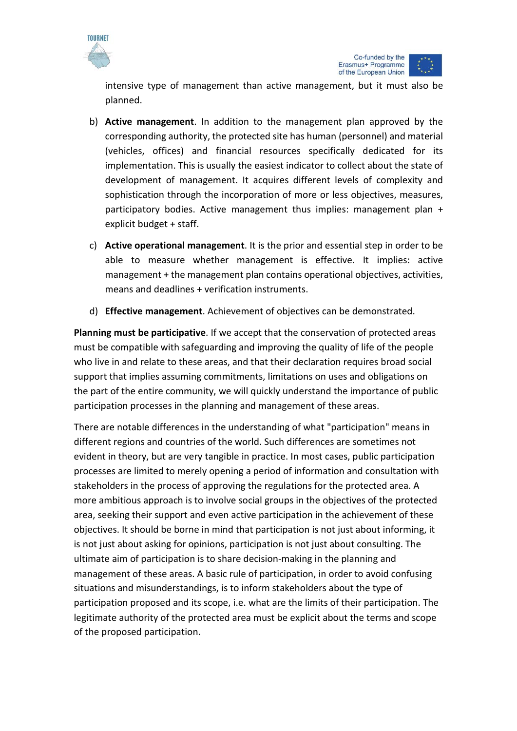



intensive type of management than active management, but it must also be planned.

- b) **Active management**. In addition to the management plan approved by the corresponding authority, the protected site has human (personnel) and material (vehicles, offices) and financial resources specifically dedicated for its implementation. This is usually the easiest indicator to collect about the state of development of management. It acquires different levels of complexity and sophistication through the incorporation of more or less objectives, measures, participatory bodies. Active management thus implies: management plan + explicit budget + staff.
- c) **Active operational management**. It is the prior and essential step in order to be able to measure whether management is effective. It implies: active management + the management plan contains operational objectives, activities, means and deadlines + verification instruments.
- d) **Effective management**. Achievement of objectives can be demonstrated.

**Planning must be participative**. If we accept that the conservation of protected areas must be compatible with safeguarding and improving the quality of life of the people who live in and relate to these areas, and that their declaration requires broad social support that implies assuming commitments, limitations on uses and obligations on the part of the entire community, we will quickly understand the importance of public participation processes in the planning and management of these areas.

There are notable differences in the understanding of what "participation" means in different regions and countries of the world. Such differences are sometimes not evident in theory, but are very tangible in practice. In most cases, public participation processes are limited to merely opening a period of information and consultation with stakeholders in the process of approving the regulations for the protected area. A more ambitious approach is to involve social groups in the objectives of the protected area, seeking their support and even active participation in the achievement of these objectives. It should be borne in mind that participation is not just about informing, it is not just about asking for opinions, participation is not just about consulting. The ultimate aim of participation is to share decision-making in the planning and management of these areas. A basic rule of participation, in order to avoid confusing situations and misunderstandings, is to inform stakeholders about the type of participation proposed and its scope, i.e. what are the limits of their participation. The legitimate authority of the protected area must be explicit about the terms and scope of the proposed participation.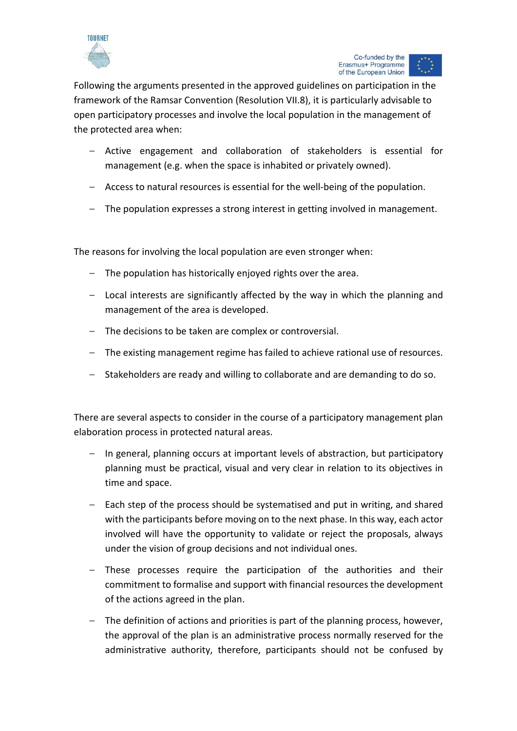

Following the arguments presented in the approved guidelines on participation in the framework of the Ramsar Convention (Resolution VII.8), it is particularly advisable to open participatory processes and involve the local population in the management of the protected area when:

- Active engagement and collaboration of stakeholders is essential for management (e.g. when the space is inhabited or privately owned).
- Access to natural resources is essential for the well-being of the population.
- The population expresses a strong interest in getting involved in management.

The reasons for involving the local population are even stronger when:

- The population has historically enjoyed rights over the area.
- Local interests are significantly affected by the way in which the planning and management of the area is developed.
- The decisions to be taken are complex or controversial.
- The existing management regime has failed to achieve rational use of resources.
- Stakeholders are ready and willing to collaborate and are demanding to do so.

There are several aspects to consider in the course of a participatory management plan elaboration process in protected natural areas.

- In general, planning occurs at important levels of abstraction, but participatory planning must be practical, visual and very clear in relation to its objectives in time and space.
- Each step of the process should be systematised and put in writing, and shared with the participants before moving on to the next phase. In this way, each actor involved will have the opportunity to validate or reject the proposals, always under the vision of group decisions and not individual ones.
- These processes require the participation of the authorities and their commitment to formalise and support with financial resources the development of the actions agreed in the plan.
- The definition of actions and priorities is part of the planning process, however, the approval of the plan is an administrative process normally reserved for the administrative authority, therefore, participants should not be confused by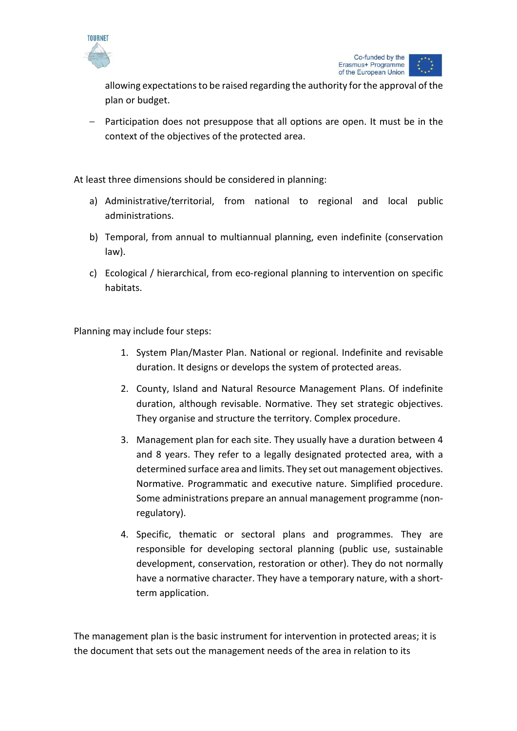

allowing expectations to be raised regarding the authority for the approval of the plan or budget.

– Participation does not presuppose that all options are open. It must be in the context of the objectives of the protected area.

At least three dimensions should be considered in planning:

- a) Administrative/territorial, from national to regional and local public administrations.
- b) Temporal, from annual to multiannual planning, even indefinite (conservation law).
- c) Ecological / hierarchical, from eco-regional planning to intervention on specific habitats.

Planning may include four steps:

- 1. System Plan/Master Plan. National or regional. Indefinite and revisable duration. It designs or develops the system of protected areas.
- 2. County, Island and Natural Resource Management Plans. Of indefinite duration, although revisable. Normative. They set strategic objectives. They organise and structure the territory. Complex procedure.
- 3. Management plan for each site. They usually have a duration between 4 and 8 years. They refer to a legally designated protected area, with a determined surface area and limits. They set out management objectives. Normative. Programmatic and executive nature. Simplified procedure. Some administrations prepare an annual management programme (nonregulatory).
- 4. Specific, thematic or sectoral plans and programmes. They are responsible for developing sectoral planning (public use, sustainable development, conservation, restoration or other). They do not normally have a normative character. They have a temporary nature, with a shortterm application.

The management plan is the basic instrument for intervention in protected areas; it is the document that sets out the management needs of the area in relation to its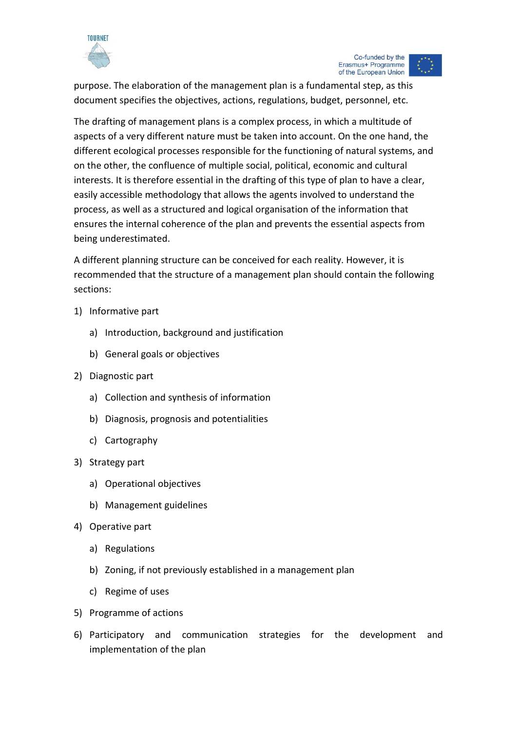

purpose. The elaboration of the management plan is a fundamental step, as this document specifies the objectives, actions, regulations, budget, personnel, etc.

The drafting of management plans is a complex process, in which a multitude of aspects of a very different nature must be taken into account. On the one hand, the different ecological processes responsible for the functioning of natural systems, and on the other, the confluence of multiple social, political, economic and cultural interests. It is therefore essential in the drafting of this type of plan to have a clear, easily accessible methodology that allows the agents involved to understand the process, as well as a structured and logical organisation of the information that ensures the internal coherence of the plan and prevents the essential aspects from being underestimated.

A different planning structure can be conceived for each reality. However, it is recommended that the structure of a management plan should contain the following sections:

- 1) Informative part
	- a) Introduction, background and justification
	- b) General goals or objectives
- 2) Diagnostic part
	- a) Collection and synthesis of information
	- b) Diagnosis, prognosis and potentialities
	- c) Cartography
- 3) Strategy part
	- a) Operational objectives
	- b) Management guidelines
- 4) Operative part
	- a) Regulations
	- b) Zoning, if not previously established in a management plan
	- c) Regime of uses
- 5) Programme of actions
- 6) Participatory and communication strategies for the development and implementation of the plan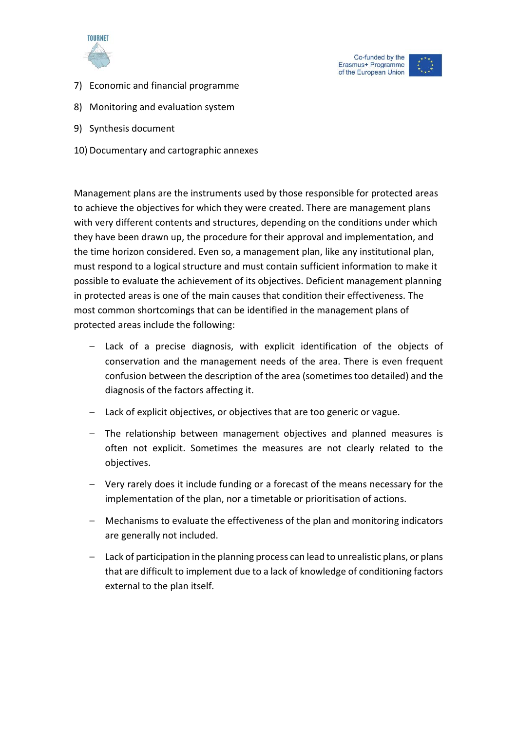





- 7) Economic and financial programme
- 8) Monitoring and evaluation system
- 9) Synthesis document
- 10) Documentary and cartographic annexes

Management plans are the instruments used by those responsible for protected areas to achieve the objectives for which they were created. There are management plans with very different contents and structures, depending on the conditions under which they have been drawn up, the procedure for their approval and implementation, and the time horizon considered. Even so, a management plan, like any institutional plan, must respond to a logical structure and must contain sufficient information to make it possible to evaluate the achievement of its objectives. Deficient management planning in protected areas is one of the main causes that condition their effectiveness. The most common shortcomings that can be identified in the management plans of protected areas include the following:

- Lack of a precise diagnosis, with explicit identification of the objects of conservation and the management needs of the area. There is even frequent confusion between the description of the area (sometimes too detailed) and the diagnosis of the factors affecting it.
- Lack of explicit objectives, or objectives that are too generic or vague.
- The relationship between management objectives and planned measures is often not explicit. Sometimes the measures are not clearly related to the objectives.
- Very rarely does it include funding or a forecast of the means necessary for the implementation of the plan, nor a timetable or prioritisation of actions.
- Mechanisms to evaluate the effectiveness of the plan and monitoring indicators are generally not included.
- Lack of participation in the planning process can lead to unrealistic plans, or plans that are difficult to implement due to a lack of knowledge of conditioning factors external to the plan itself.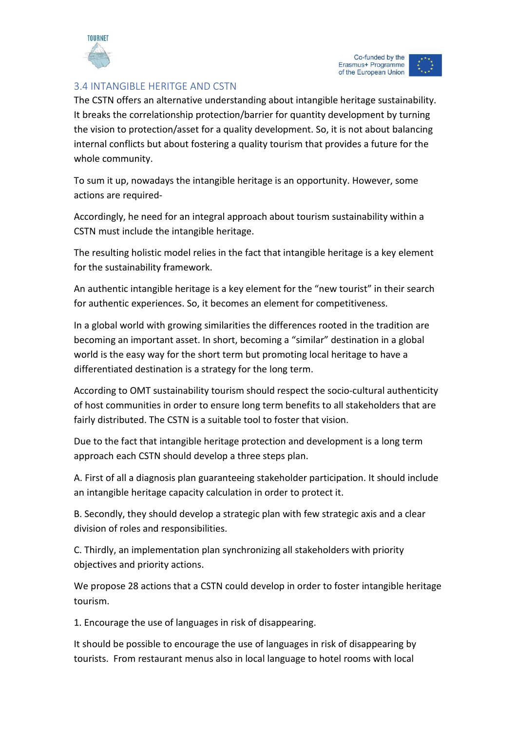

# <span id="page-30-0"></span>3.4 INTANGIBLE HERITGE AND CSTN

The CSTN offers an alternative understanding about intangible heritage sustainability. It breaks the correlationship protection/barrier for quantity development by turning the vision to protection/asset for a quality development. So, it is not about balancing internal conflicts but about fostering a quality tourism that provides a future for the whole community.

To sum it up, nowadays the intangible heritage is an opportunity. However, some actions are required-

Accordingly, he need for an integral approach about tourism sustainability within a CSTN must include the intangible heritage.

The resulting holistic model relies in the fact that intangible heritage is a key element for the sustainability framework.

An authentic intangible heritage is a key element for the "new tourist" in their search for authentic experiences. So, it becomes an element for competitiveness.

In a global world with growing similarities the differences rooted in the tradition are becoming an important asset. In short, becoming a "similar" destination in a global world is the easy way for the short term but promoting local heritage to have a differentiated destination is a strategy for the long term.

According to OMT sustainability tourism should respect the socio-cultural authenticity of host communities in order to ensure long term benefits to all stakeholders that are fairly distributed. The CSTN is a suitable tool to foster that vision.

Due to the fact that intangible heritage protection and development is a long term approach each CSTN should develop a three steps plan.

A. First of all a diagnosis plan guaranteeing stakeholder participation. It should include an intangible heritage capacity calculation in order to protect it.

B. Secondly, they should develop a strategic plan with few strategic axis and a clear division of roles and responsibilities.

C. Thirdly, an implementation plan synchronizing all stakeholders with priority objectives and priority actions.

We propose 28 actions that a CSTN could develop in order to foster intangible heritage tourism.

1. Encourage the use of languages in risk of disappearing.

It should be possible to encourage the use of languages in risk of disappearing by tourists. From restaurant menus also in local language to hotel rooms with local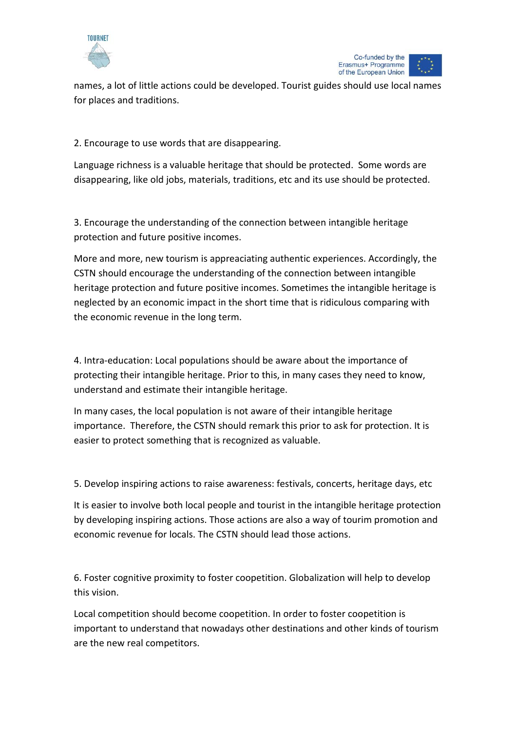



names, a lot of little actions could be developed. Tourist guides should use local names for places and traditions.

2. Encourage to use words that are disappearing.

Language richness is a valuable heritage that should be protected. Some words are disappearing, like old jobs, materials, traditions, etc and its use should be protected.

3. Encourage the understanding of the connection between intangible heritage protection and future positive incomes.

More and more, new tourism is appreaciating authentic experiences. Accordingly, the CSTN should encourage the understanding of the connection between intangible heritage protection and future positive incomes. Sometimes the intangible heritage is neglected by an economic impact in the short time that is ridiculous comparing with the economic revenue in the long term.

4. Intra-education: Local populations should be aware about the importance of protecting their intangible heritage. Prior to this, in many cases they need to know, understand and estimate their intangible heritage.

In many cases, the local population is not aware of their intangible heritage importance. Therefore, the CSTN should remark this prior to ask for protection. It is easier to protect something that is recognized as valuable.

5. Develop inspiring actions to raise awareness: festivals, concerts, heritage days, etc

It is easier to involve both local people and tourist in the intangible heritage protection by developing inspiring actions. Those actions are also a way of tourim promotion and economic revenue for locals. The CSTN should lead those actions.

6. Foster cognitive proximity to foster coopetition. Globalization will help to develop this vision.

Local competition should become coopetition. In order to foster coopetition is important to understand that nowadays other destinations and other kinds of tourism are the new real competitors.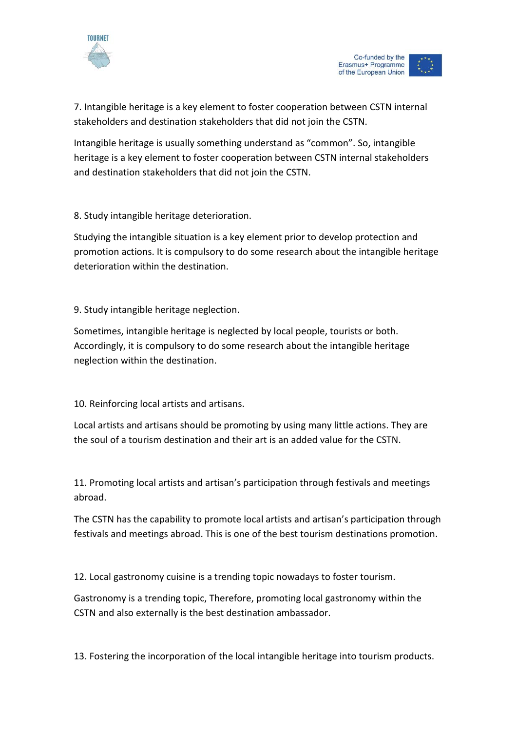

7. Intangible heritage is a key element to foster cooperation between CSTN internal stakeholders and destination stakeholders that did not join the CSTN.

Intangible heritage is usually something understand as "common". So, intangible heritage is a key element to foster cooperation between CSTN internal stakeholders and destination stakeholders that did not join the CSTN.

8. Study intangible heritage deterioration.

Studying the intangible situation is a key element prior to develop protection and promotion actions. It is compulsory to do some research about the intangible heritage deterioration within the destination.

9. Study intangible heritage neglection.

Sometimes, intangible heritage is neglected by local people, tourists or both. Accordingly, it is compulsory to do some research about the intangible heritage neglection within the destination.

10. Reinforcing local artists and artisans.

Local artists and artisans should be promoting by using many little actions. They are the soul of a tourism destination and their art is an added value for the CSTN.

11. Promoting local artists and artisan's participation through festivals and meetings abroad.

The CSTN has the capability to promote local artists and artisan's participation through festivals and meetings abroad. This is one of the best tourism destinations promotion.

12. Local gastronomy cuisine is a trending topic nowadays to foster tourism.

Gastronomy is a trending topic, Therefore, promoting local gastronomy within the CSTN and also externally is the best destination ambassador.

13. Fostering the incorporation of the local intangible heritage into tourism products.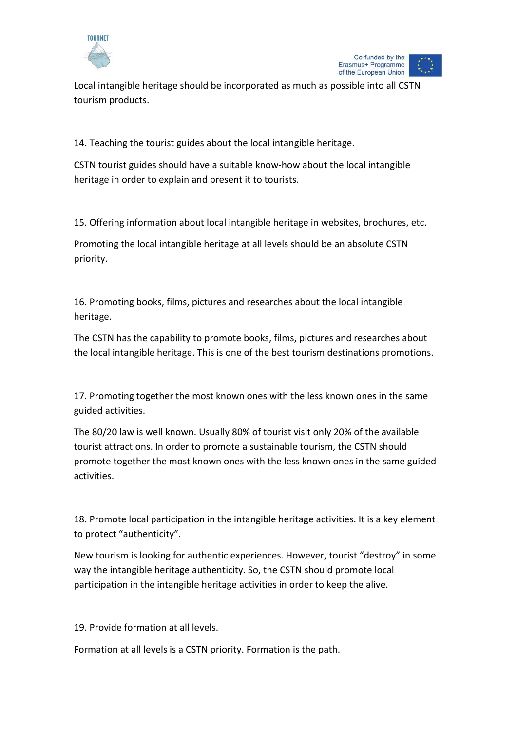



Local intangible heritage should be incorporated as much as possible into all CSTN tourism products.

14. Teaching the tourist guides about the local intangible heritage.

CSTN tourist guides should have a suitable know-how about the local intangible heritage in order to explain and present it to tourists.

15. Offering information about local intangible heritage in websites, brochures, etc.

Promoting the local intangible heritage at all levels should be an absolute CSTN priority.

16. Promoting books, films, pictures and researches about the local intangible heritage.

The CSTN has the capability to promote books, films, pictures and researches about the local intangible heritage. This is one of the best tourism destinations promotions.

17. Promoting together the most known ones with the less known ones in the same guided activities.

The 80/20 law is well known. Usually 80% of tourist visit only 20% of the available tourist attractions. In order to promote a sustainable tourism, the CSTN should promote together the most known ones with the less known ones in the same guided activities.

18. Promote local participation in the intangible heritage activities. It is a key element to protect "authenticity".

New tourism is looking for authentic experiences. However, tourist "destroy" in some way the intangible heritage authenticity. So, the CSTN should promote local participation in the intangible heritage activities in order to keep the alive.

19. Provide formation at all levels.

Formation at all levels is a CSTN priority. Formation is the path.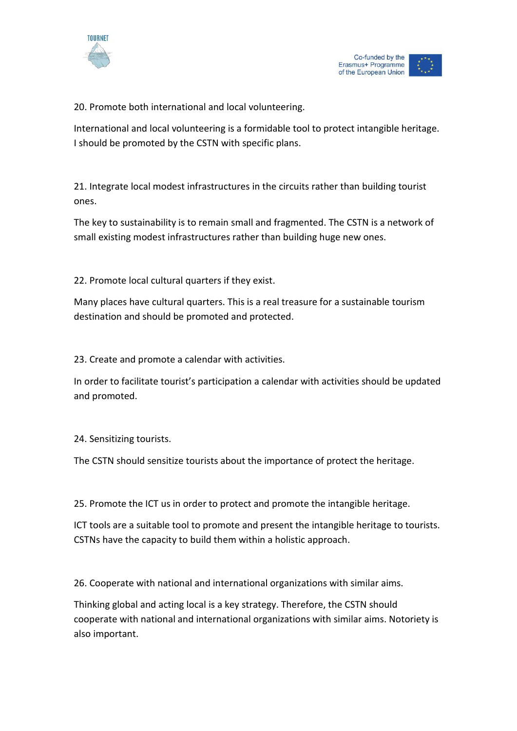



20. Promote both international and local volunteering.

International and local volunteering is a formidable tool to protect intangible heritage. I should be promoted by the CSTN with specific plans.

21. Integrate local modest infrastructures in the circuits rather than building tourist ones.

The key to sustainability is to remain small and fragmented. The CSTN is a network of small existing modest infrastructures rather than building huge new ones.

22. Promote local cultural quarters if they exist.

Many places have cultural quarters. This is a real treasure for a sustainable tourism destination and should be promoted and protected.

23. Create and promote a calendar with activities.

In order to facilitate tourist's participation a calendar with activities should be updated and promoted.

24. Sensitizing tourists.

The CSTN should sensitize tourists about the importance of protect the heritage.

25. Promote the ICT us in order to protect and promote the intangible heritage.

ICT tools are a suitable tool to promote and present the intangible heritage to tourists. CSTNs have the capacity to build them within a holistic approach.

26. Cooperate with national and international organizations with similar aims.

Thinking global and acting local is a key strategy. Therefore, the CSTN should cooperate with national and international organizations with similar aims. Notoriety is also important.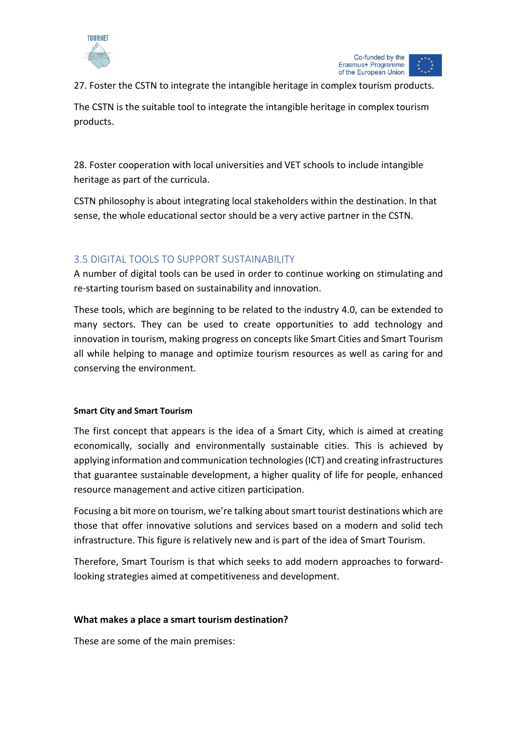



27. Foster the CSTN to integrate the intangible heritage in complex tourism products.

The CSTN is the suitable tool to integrate the intangible heritage in complex tourism products.

28. Foster cooperation with local universities and VET schools to include intangible heritage as part of the curricula.

CSTN philosophy is about integrating local stakeholders within the destination. In that sense, the whole educational sector should be a very active partner in the CSTN.

# <span id="page-35-0"></span>3.5 DIGITAL TOOLS TO SUPPORT SUSTAINABILITY

A number of digital tools can be used in order to continue working on stimulating and re-starting tourism based on sustainability and innovation.

These tools, which are beginning to be related to the industry 4.0, can be extended to many sectors. They can be used to create opportunities to add technology and innovation in tourism, making progress on concepts like Smart Cities and Smart Tourism all while helping to manage and optimize tourism resources as well as caring for and conserving the environment.

# **Smart City and Smart Tourism**

The first concept that appears is the idea of a Smart City, which is aimed at creating economically, socially and environmentally sustainable cities. This is achieved by applying information and communication technologies (ICT) and creating infrastructures that guarantee sustainable development, a higher quality of life for people, enhanced resource management and active citizen participation.

Focusing a bit more on tourism, we're talking about smart tourist destinations which are those that offer innovative solutions and services based on a modern and solid tech infrastructure. This figure is relatively new and is part of the idea of Smart Tourism.

Therefore, Smart Tourism is that which seeks to add modern approaches to forwardlooking strategies aimed at competitiveness and development.

# **What makes a place a smart tourism destination?**

These are some of the main premises: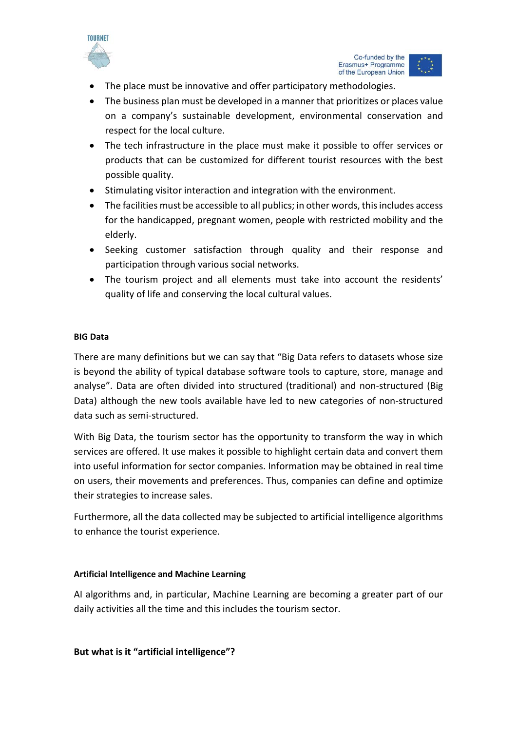

Co-funded by the Erasmus+ Programme of the European Union

- The place must be innovative and offer participatory methodologies.
- The business plan must be developed in a manner that prioritizes or places value on a company's sustainable development, environmental conservation and respect for the local culture.
- The tech infrastructure in the place must make it possible to offer services or products that can be customized for different tourist resources with the best possible quality.
- Stimulating visitor interaction and integration with the environment.
- The facilities must be accessible to all publics; in other words, this includes access for the handicapped, pregnant women, people with restricted mobility and the elderly.
- Seeking customer satisfaction through quality and their response and participation through various social networks.
- The tourism project and all elements must take into account the residents' quality of life and conserving the local cultural values.

# **BIG Data**

There are many definitions but we can say that "Big Data refers to datasets whose size is beyond the ability of typical database software tools to capture, store, manage and analyse". Data are often divided into structured (traditional) and non-structured (Big Data) although the new tools available have led to new categories of non-structured data such as semi-structured.

With Big Data, the tourism sector has the opportunity to transform the way in which services are offered. It use makes it possible to highlight certain data and convert them into useful information for sector companies. Information may be obtained in real time on users, their movements and preferences. Thus, companies can define and optimize their strategies to increase sales.

Furthermore, all the data collected may be subjected to artificial intelligence algorithms to enhance the tourist experience.

# **Artificial Intelligence and Machine Learning**

AI algorithms and, in particular, Machine Learning are becoming a greater part of our daily activities all the time and this includes the tourism sector.

**But what is it "artificial intelligence"?**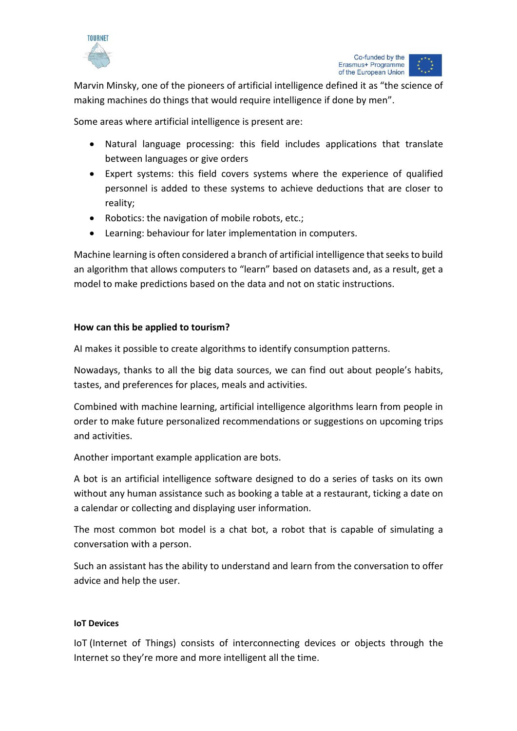

Marvin Minsky, one of the pioneers of artificial intelligence defined it as "the science of making machines do things that would require intelligence if done by men".

Some areas where artificial intelligence is present are:

- Natural language processing: this field includes applications that translate between languages or give orders
- Expert systems: this field covers systems where the experience of qualified personnel is added to these systems to achieve deductions that are closer to reality;
- Robotics: the navigation of mobile robots, etc.;
- Learning: behaviour for later implementation in computers.

Machine learning is often considered a branch of artificial intelligence that seeks to build an algorithm that allows computers to "learn" based on datasets and, as a result, get a model to make predictions based on the data and not on static instructions.

# **How can this be applied to tourism?**

AI makes it possible to create algorithms to identify consumption patterns.

Nowadays, thanks to all the big data sources, we can find out about people's habits, tastes, and preferences for places, meals and activities.

Combined with machine learning, artificial intelligence algorithms learn from people in order to make future personalized recommendations or suggestions on upcoming trips and activities.

Another important example application are bots.

A bot is an artificial intelligence software designed to do a series of tasks on its own without any human assistance such as booking a table at a restaurant, ticking a date on a calendar or collecting and displaying user information.

The most common bot model is a chat bot, a robot that is capable of simulating a conversation with a person.

Such an assistant has the ability to understand and learn from the conversation to offer advice and help the user.

# **IoT Devices**

IoT (Internet of Things) consists of interconnecting devices or objects through the Internet so they're more and more intelligent all the time.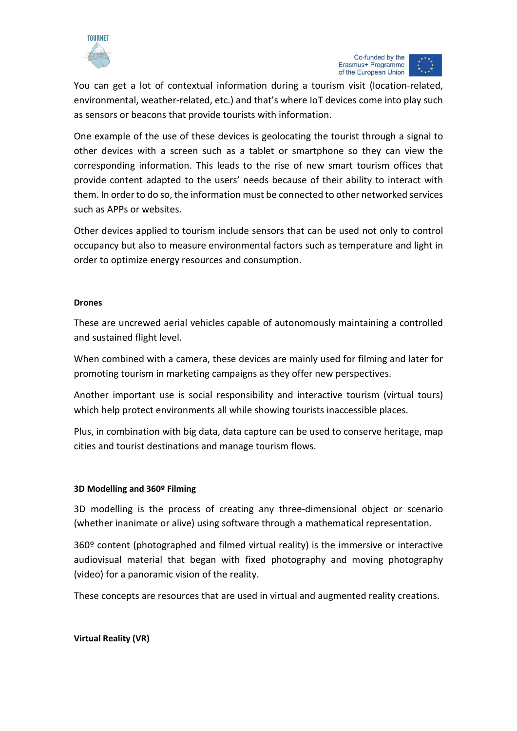

You can get a lot of contextual information during a tourism visit (location-related, environmental, weather-related, etc.) and that's where IoT devices come into play such as sensors or beacons that provide tourists with information.

One example of the use of these devices is geolocating the tourist through a signal to other devices with a screen such as a tablet or smartphone so they can view the corresponding information. This leads to the rise of new smart tourism offices that provide content adapted to the users' needs because of their ability to interact with them. In order to do so, the information must be connected to other networked services such as APPs or websites.

Other devices applied to tourism include sensors that can be used not only to control occupancy but also to measure environmental factors such as temperature and light in order to optimize energy resources and consumption.

# **Drones**

These are uncrewed aerial vehicles capable of autonomously maintaining a controlled and sustained flight level.

When combined with a camera, these devices are mainly used for filming and later for promoting tourism in marketing campaigns as they offer new perspectives.

Another important use is social responsibility and interactive tourism (virtual tours) which help protect environments all while showing tourists inaccessible places.

Plus, in combination with [big](https://www.andalucialab.org/?p=23536) data, data capture can be used to conserve heritage, map cities and [tourist destinations](https://www.andalucialab.org/?p=25603) and manage tourism flows.

# **3D Modelling and 360º Filming**

3D modelling is the process of creating any three-dimensional object or scenario (whether inanimate or alive) using software through a mathematical representation.

 $360<sup>o</sup>$  content (photographed and filmed virtual reality) is the immersive or interactive audiovisual material that began with fixed photography and moving photography (video) for a panoramic vision of the reality.

These concepts are resources that are used in virtual and augmented reality creations.

**Virtual Reality (VR)**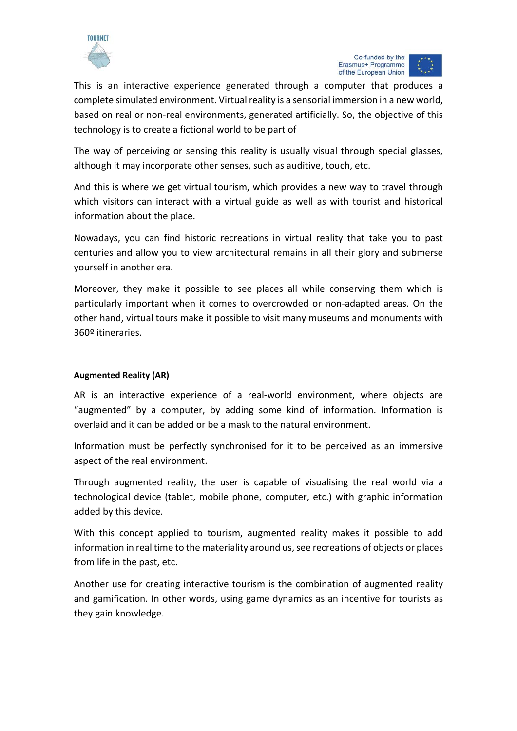

Co-funded by the Erasmus+ Programme of the European Union

This is an interactive experience generated through a computer that produces a complete simulated environment. Virtual reality is a sensorial immersion in a new world, based on real or non-real environments, generated artificially. So, the objective of this technology is to create a fictional world to be part of

The way of perceiving or sensing this reality is usually visual through special glasses, although it may incorporate other senses, such as auditive, touch, etc.

And this is where we get virtual tourism, which provides a new way to travel through which visitors can interact with a virtual guide as well as with tourist and historical information about the place.

Nowadays, you can find historic recreations in virtual reality that take you to past centuries and allow you to view architectural remains in all their glory and submerse yourself in another era.

Moreover, they make it possible to see places all while conserving them which is particularly important when it comes to overcrowded or non-adapted areas. On the other hand, virtual tours make it possible to visit many museums and monuments with 360º itineraries.

# **Augmented Reality (AR)**

AR is an interactive experience of a real-world environment, where objects are "augmented" by a computer, by adding some kind of information. Information is overlaid and it can be added or be a mask to the natural environment.

Information must be perfectly synchronised for it to be perceived as an immersive aspect of the real environment.

Through augmented reality, the user is capable of visualising the real world via a technological device (tablet, mobile phone, computer, etc.) with graphic information added by this device.

With this concept applied to tourism, augmented reality makes it possible to add information in real time to the materiality around us, see recreations of objects or places from life in the past, etc.

Another use for creating interactive tourism is the combination of augmented reality and gamification. In other words, using game dynamics as an incentive for tourists as they gain knowledge.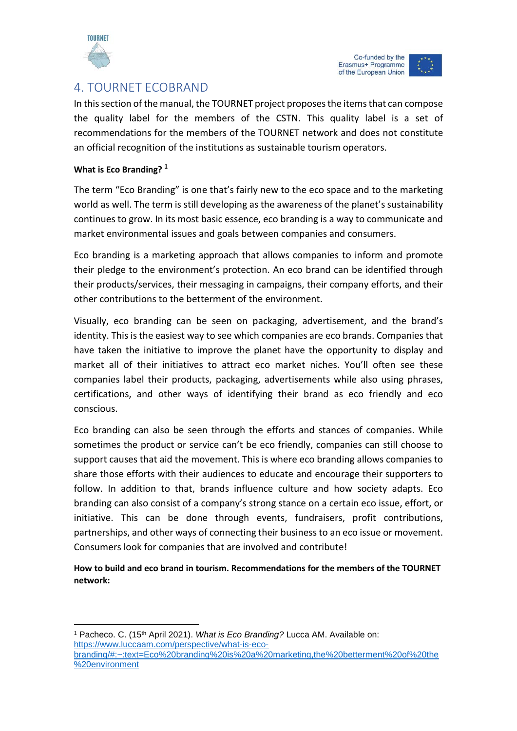

 $\overline{a}$ 

# <span id="page-40-0"></span>4. TOURNET ECOBRAND

In this section of the manual, the TOURNET project proposes the items that can compose the quality label for the members of the CSTN. This quality label is a set of recommendations for the members of the TOURNET network and does not constitute an official recognition of the institutions as sustainable tourism operators.

# **What is Eco Branding? [1](#page-40-1)**

The term "Eco Branding" is one that's fairly new to the eco space and to the marketing world as well. The term is still developing as the awareness of the planet's sustainability continues to grow. In its most basic essence, eco branding is a way to communicate and market environmental issues and goals between companies and consumers.

Eco branding is a marketing approach that allows companies to inform and promote their pledge to the environment's protection. An eco brand can be identified through their products/services, their messaging in campaigns, their company efforts, and their other contributions to the betterment of the environment.

Visually, eco branding can be seen on packaging, advertisement, and the brand's identity. This is the easiest way to see which companies are eco brands. Companies that have taken the initiative to improve the planet have the opportunity to display and market all of their initiatives to attract eco market niches. You'll often see these companies label their products, packaging, advertisements while also using phrases, certifications, and other ways of identifying their brand as eco friendly and eco conscious.

Eco branding can also be seen through the efforts and stances of companies. While sometimes the product or service can't be eco friendly, companies can still choose to support causes that aid the movement. This is where eco branding allows companies to share those efforts with their audiences to educate and encourage their supporters to follow. In addition to that, brands influence culture and how society adapts. Eco branding can also consist of a company's strong stance on a certain eco issue, effort, or initiative. This can be done through events, fundraisers, profit contributions, partnerships, and other ways of connecting their business to an eco issue or movement. Consumers look for companies that are involved and contribute!

**How to build and eco brand in tourism. Recommendations for the members of the TOURNET network:**

<span id="page-40-1"></span><sup>&</sup>lt;sup>1</sup> Pacheco. C. (15<sup>th</sup> April 2021). *What is Eco Branding?* Lucca AM. Available on: [https://www.luccaam.com/perspective/what-is-eco](https://www.luccaam.com/perspective/what-is-eco-branding/#:%7E:text=Eco%20branding%20is%20a%20marketing,the%20betterment%20of%20the%20environment)[branding/#:~:text=Eco%20branding%20is%20a%20marketing,the%20betterment%20of%20the](https://www.luccaam.com/perspective/what-is-eco-branding/#:%7E:text=Eco%20branding%20is%20a%20marketing,the%20betterment%20of%20the%20environment) [%20environment](https://www.luccaam.com/perspective/what-is-eco-branding/#:%7E:text=Eco%20branding%20is%20a%20marketing,the%20betterment%20of%20the%20environment)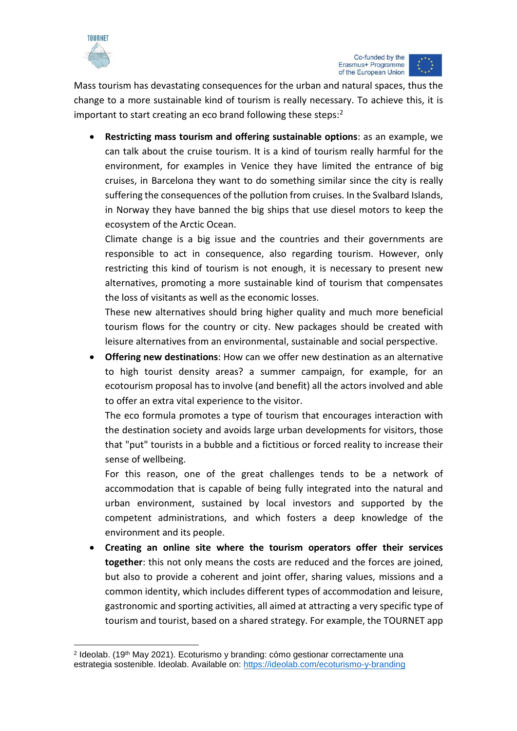

**.** 

Mass tourism has devastating consequences for the urban and natural spaces, thus the change to a more sustainable kind of tourism is really necessary. To achieve this, it is important to start creating an eco brand following these steps: $2$ 

• **Restricting mass tourism and offering sustainable options**: as an example, we can talk about the cruise tourism. It is a kind of tourism really harmful for the environment, for examples in Venice they have limited the entrance of big cruises, in Barcelona they want to do something similar since the city is really suffering the consequences of the pollution from cruises. In the Svalbard Islands, in Norway they have banned the big ships that use diesel motors to keep the ecosystem of the Arctic Ocean.

Climate change is a big issue and the countries and their governments are responsible to act in consequence, also regarding tourism. However, only restricting this kind of tourism is not enough, it is necessary to present new alternatives, promoting a more sustainable kind of tourism that compensates the loss of visitants as well as the economic losses.

These new alternatives should bring higher quality and much more beneficial tourism flows for the country or city. New packages should be created with leisure alternatives from an environmental, sustainable and social perspective.

• **Offering new destinations**: How can we offer new destination as an alternative to high tourist density areas? a summer campaign, for example, for an ecotourism proposal has to involve (and benefit) all the actors involved and able to offer an extra vital experience to the visitor.

The eco formula promotes a type of tourism that encourages interaction with the destination society and avoids large urban developments for visitors, those that "put" tourists in a bubble and a fictitious or forced reality to increase their sense of wellbeing.

For this reason, one of the great challenges tends to be a network of accommodation that is capable of being fully integrated into the natural and urban environment, sustained by local investors and supported by the competent administrations, and which fosters a deep knowledge of the environment and its people.

• **Creating an online site where the tourism operators offer their services together**: this not only means the costs are reduced and the forces are joined, but also to provide a coherent and joint offer, sharing values, missions and a common identity, which includes different types of accommodation and leisure, gastronomic and sporting activities, all aimed at attracting a very specific type of tourism and tourist, based on a shared strategy. For example, the TOURNET app

<span id="page-41-0"></span><sup>2</sup> Ideolab. (19th May 2021). Ecoturismo y branding: cómo gestionar correctamente una estrategia sostenible. Ideolab. Available on:<https://ideolab.com/ecoturismo-y-branding>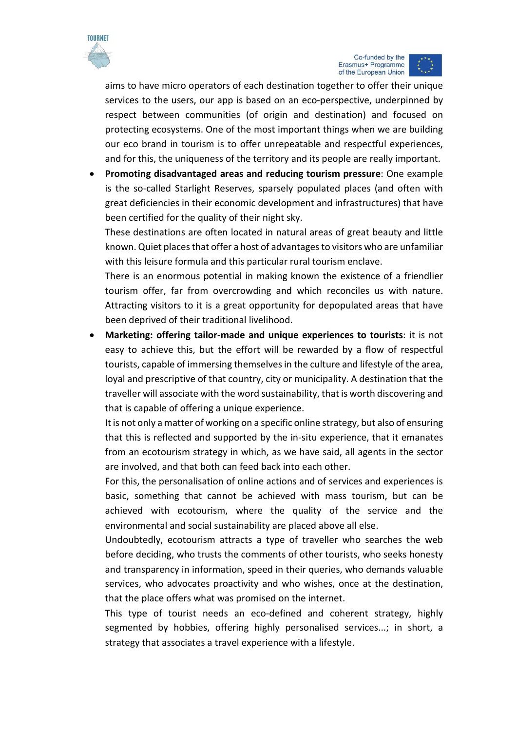

Co-funded by the Erasmus+ Programme of the European Union

aims to have micro operators of each destination together to offer their unique services to the users, our app is based on an eco-perspective, underpinned by respect between communities (of origin and destination) and focused on protecting ecosystems. One of the most important things when we are building our eco brand in tourism is to offer unrepeatable and respectful experiences, and for this, the uniqueness of the territory and its people are really important.

• **Promoting disadvantaged areas and reducing tourism pressure**: One example is the so-called Starlight Reserves, sparsely populated places (and often with great deficiencies in their economic development and infrastructures) that have been certified for the quality of their night sky.

These destinations are often located in natural areas of great beauty and little known. Quiet places that offer a host of advantages to visitors who are unfamiliar with this leisure formula and this particular rural tourism enclave.

There is an enormous potential in making known the existence of a friendlier tourism offer, far from overcrowding and which reconciles us with nature. Attracting visitors to it is a great opportunity for depopulated areas that have been deprived of their traditional livelihood.

• **Marketing: offering tailor-made and unique experiences to tourists**: it is not easy to achieve this, but the effort will be rewarded by a flow of respectful tourists, capable of immersing themselves in the culture and lifestyle of the area, loyal and prescriptive of that country, city or municipality. A destination that the traveller will associate with the word sustainability, that is worth discovering and that is capable of offering a unique experience.

It is not only a matter of working on a specific online strategy, but also of ensuring that this is reflected and supported by the in-situ experience, that it emanates from an ecotourism strategy in which, as we have said, all agents in the sector are involved, and that both can feed back into each other.

For this, the personalisation of online actions and of services and experiences is basic, something that cannot be achieved with mass tourism, but can be achieved with ecotourism, where the quality of the service and the environmental and social sustainability are placed above all else.

Undoubtedly, ecotourism attracts a type of traveller who searches the web before deciding, who trusts the comments of other tourists, who seeks honesty and transparency in information, speed in their queries, who demands valuable services, who advocates proactivity and who wishes, once at the destination, that the place offers what was promised on the internet.

This type of tourist needs an eco-defined and coherent strategy, highly segmented by hobbies, offering highly personalised services...; in short, a strategy that associates a travel experience with a lifestyle.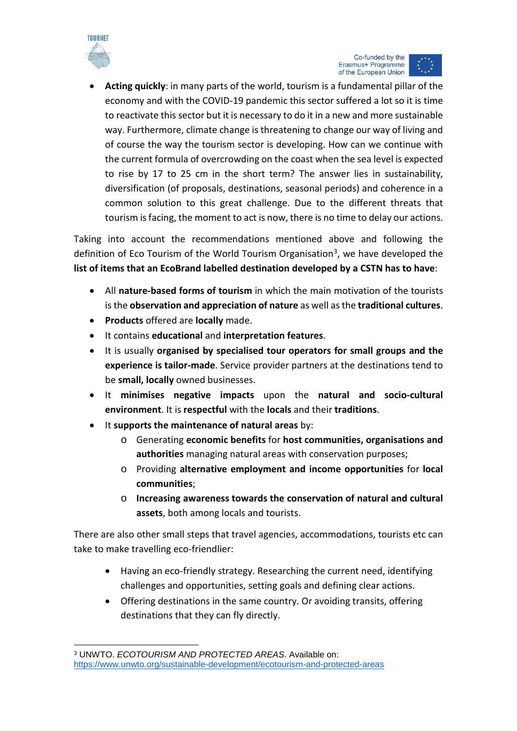

**.** 



• **Acting quickly**: in many parts of the world, tourism is a fundamental pillar of the economy and with the COVID-19 pandemic this sector suffered a lot so it is time to reactivate this sector but it is necessary to do it in a new and more sustainable way. Furthermore, climate change is threatening to change our way of living and of course the way the tourism sector is developing. How can we continue with the current formula of overcrowding on the coast when the sea level is expected to rise by 17 to 25 cm in the short term? The answer lies in sustainability, diversification (of proposals, destinations, seasonal periods) and coherence in a common solution to this great challenge. Due to the different threats that tourism is facing, the moment to act is now, there is no time to delay our actions.

Taking into account the recommendations mentioned above and following the definition of Eco Tourism of the World Tourism Organisation<sup>3</sup>, we have developed the **list of items that an EcoBrand labelled destination developed by a CSTN has to have**:

- All **nature-based forms of tourism** in which the main motivation of the tourists is the **observation and appreciation of nature** as well as the **traditional cultures**.
- **Products** offered are **locally** made.
- It contains **educational** and **interpretation features**.
- It is usually **organised by specialised tour operators for small groups and the experience is tailor-made**. Service provider partners at the destinations tend to be **small, locally** owned businesses.
- It **minimises negative impacts** upon the **natural and socio-cultural environment**. It is **respectful** with the **locals** and their **traditions**.
- It **supports the maintenance of natural areas** by:
	- o Generating **economic benefits** for **host communities, organisations and authorities** managing natural areas with conservation purposes;
	- o Providing **alternative employment and income opportunities** for **local communities**;
	- o **Increasing awareness towards the conservation of natural and cultural assets**, both among locals and tourists.

There are also other small steps that travel agencies, accommodations, tourists etc can take to make travelling eco-friendlier:

- Having an eco-friendly strategy. Researching the current need, identifying challenges and opportunities, setting goals and defining clear actions.
- Offering destinations in the same country. Or avoiding transits, offering destinations that they can fly directly.

<span id="page-43-0"></span><sup>3</sup> UNWTO. *ECOTOURISM AND PROTECTED AREAS*. Available on: <https://www.unwto.org/sustainable-development/ecotourism-and-protected-areas>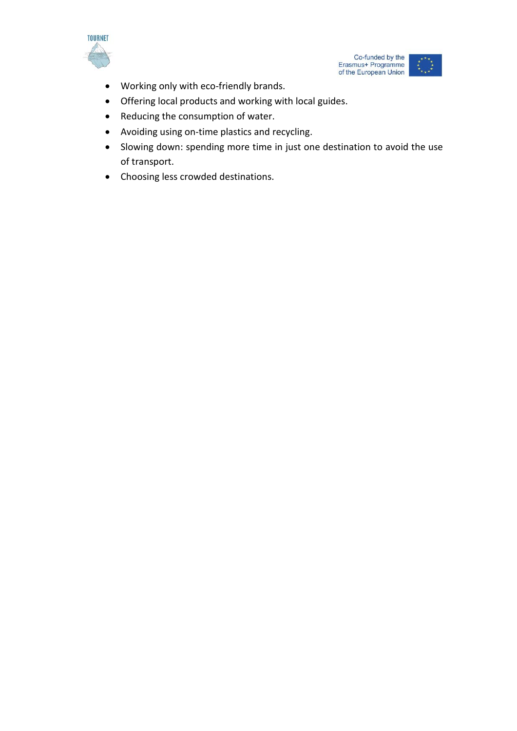



- Working only with eco-friendly brands.
- Offering local products and working with local guides.
- Reducing the consumption of water.
- Avoiding using on-time plastics and recycling.
- Slowing down: spending more time in just one destination to avoid the use of transport.
- Choosing less crowded destinations.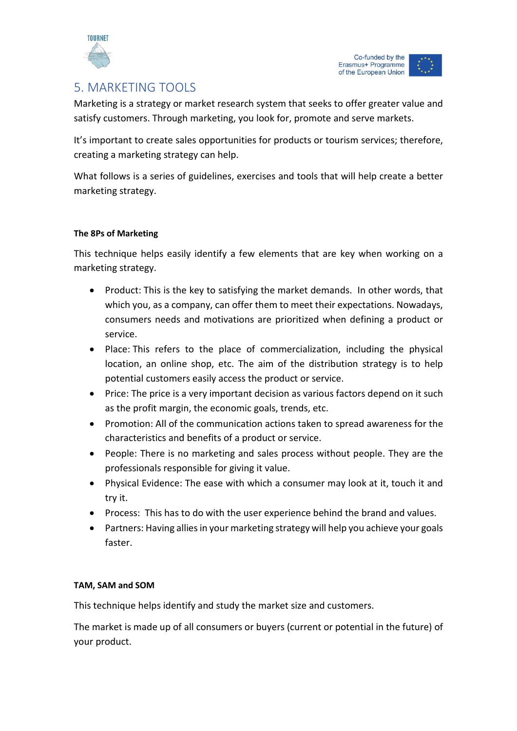

# <span id="page-45-0"></span>5. MARKETING TOOLS

Marketing is a strategy or market research system that seeks to offer greater value and satisfy customers. Through marketing, you look for, promote and serve markets.

It's important to create sales opportunities for products or tourism services; therefore, creating a marketing strategy can help.

What follows is a series of guidelines, exercises and tools that will help create a better marketing strategy.

# **The 8Ps of Marketing**

This technique helps easily identify a few elements that are key when working on a marketing strategy.

- Product: This is the key to satisfying the market demands. In other words, that which you, as a company, can offer them to meet their expectations. Nowadays, consumers needs and motivations are prioritized when defining a product or service.
- Place: This refers to the place of commercialization, including the physical location, an online shop, etc. The aim of the distribution strategy is to help potential customers easily access the product or service.
- Price: The price is a very important decision as various factors depend on it such as the profit margin, the economic goals, trends, etc.
- Promotion: All of the communication actions taken to spread awareness for the characteristics and benefits of a product or service.
- People: There is no marketing and sales process without people. They are the professionals responsible for giving it value.
- Physical Evidence: The ease with which a consumer may look at it, touch it and try it.
- Process: This has to do with the user experience behind the brand and values.
- Partners: Having allies in your marketing strategy will help you achieve your goals faster.

# **TAM, SAM and SOM**

This technique helps identify and study the market size and customers.

The market is made up of all consumers or buyers (current or potential in the future) of your product.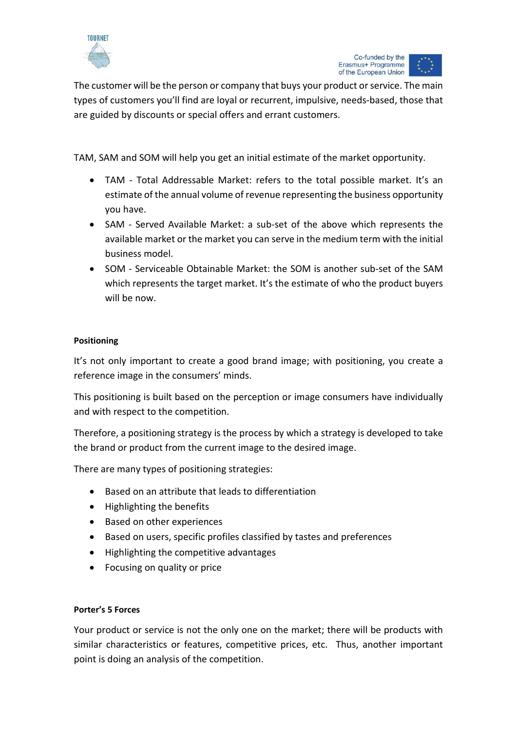

The customer will be the person or company that buys your product or service. The main types of customers you'll find are loyal or recurrent, impulsive, needs-based, those that are guided by discounts or special offers and errant customers.

TAM, SAM and SOM will help you get an initial estimate of the market opportunity.

- TAM Total Addressable Market: refers to the total possible market. It's an estimate of the annual volume of revenue representing the business opportunity you have.
- SAM Served Available Market: a sub-set of the above which represents the available market or the market you can serve in the medium term with the initial business model.
- SOM Serviceable Obtainable Market: the SOM is another sub-set of the SAM which represents the target market. It's the estimate of who the product buyers will be now.

# **Positioning**

It's not only important to create a good brand image; with positioning, you create a reference image in the consumers' minds.

This positioning is built based on the perception or image consumers have individually and with respect to the competition.

Therefore, a positioning strategy is the process by which a strategy is developed to take the brand or product from the current image to the desired image.

There are many types of positioning strategies:

- Based on an attribute that leads to differentiation
- Highlighting the benefits
- Based on other experiences
- Based on users, specific profiles classified by tastes and preferences
- Highlighting the competitive advantages
- Focusing on quality or price

# **Porter's 5 Forces**

Your product or service is not the only one on the market; there will be products with similar characteristics or features, competitive prices, etc. Thus, another important point is doing an analysis of the competition.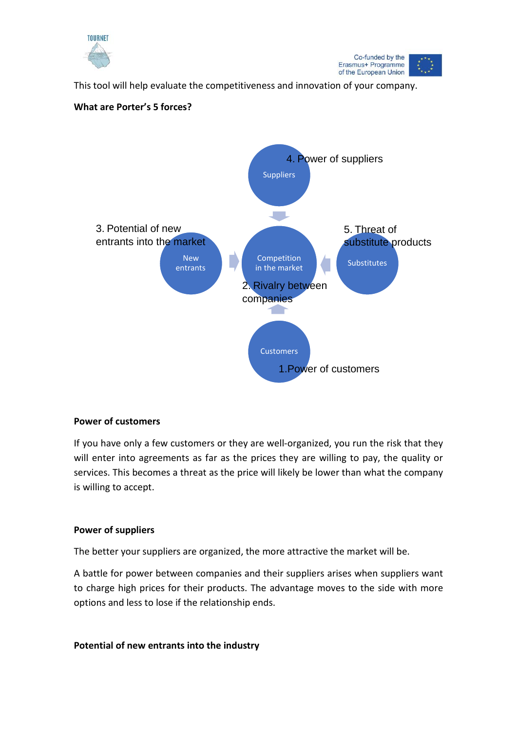



This tool will help evaluate the competitiveness and innovation of your company.



# **What are Porter's 5 forces?**

# **Power of customers**

If you have only a few customers or they are well-organized, you run the risk that they will enter into agreements as far as the prices they are willing to pay, the quality or services. This becomes a threat as the price will likely be lower than what the company is willing to accept.

# **Power of suppliers**

The better your suppliers are organized, the more attractive the market will be.

A battle for power between companies and their suppliers arises when suppliers want to charge high prices for their products. The advantage moves to the side with more options and less to lose if the relationship ends.

# **Potential of new entrants into the industry**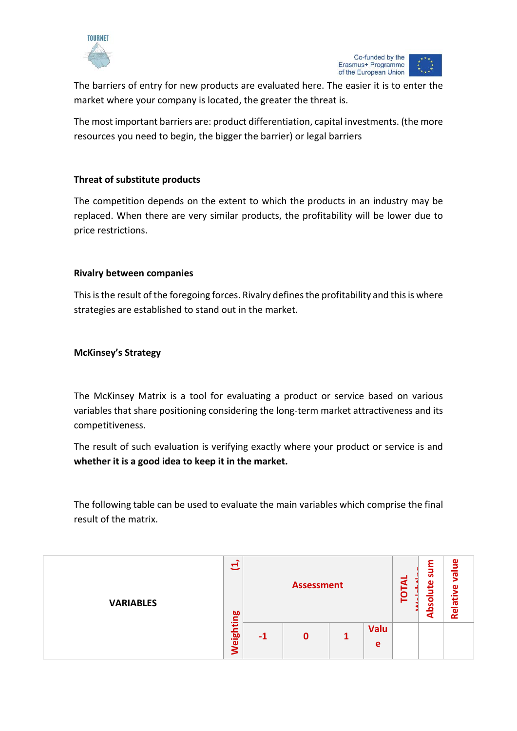

The barriers of entry for new products are evaluated here. The easier it is to enter the market where your company is located, the greater the threat is.

The most important barriers are: product differentiation, capital investments. (the more resources you need to begin, the bigger the barrier) or legal barriers

# **Threat of substitute products**

The competition depends on the extent to which the products in an industry may be replaced. When there are very similar products, the profitability will be lower due to price restrictions.

# **Rivalry between companies**

This is the result of the foregoing forces. Rivalry defines the profitability and this is where strategies are established to stand out in the market.

# **McKinsey's Strategy**

The McKinsey Matrix is a tool for evaluating a product or service based on various variables that share positioning considering the long-term market attractiveness and its competitiveness.

The result of such evaluation is verifying exactly where your product or service is and **whether it is a good idea to keep it in the market.**

The following table can be used to evaluate the main variables which comprise the final result of the matrix.

| <b>VARIABLES</b> | Ξ<br><b>bo</b><br>c         | <b>Assessment</b> |             |  |                  | ৰ<br>ဥ | F<br>ᄝ<br>മ<br>. .<br>Ο<br><u>ဖ</u><br>я | ω<br>$\overline{\mathfrak{a}}$<br>ää<br><u>Rei</u> |
|------------------|-----------------------------|-------------------|-------------|--|------------------|--------|------------------------------------------|----------------------------------------------------|
|                  | ш<br>ಹ<br><u>َ آهَ</u><br>ξ | -1                | $\mathbf 0$ |  | <b>Valu</b><br>e |        |                                          |                                                    |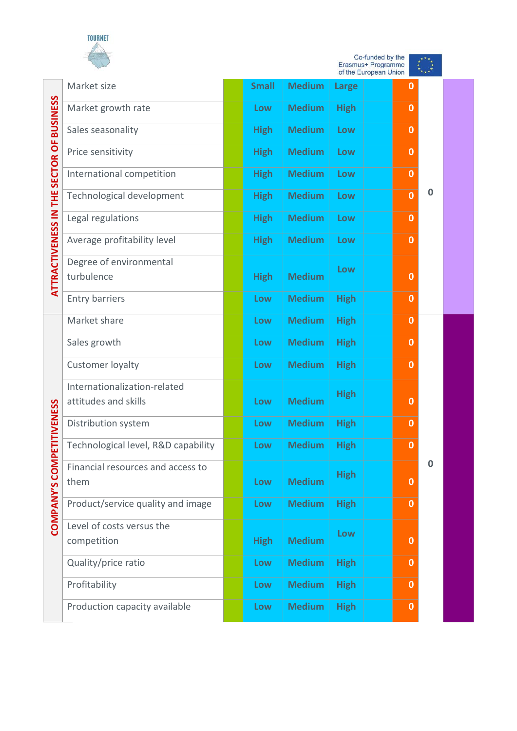

۰

|                                          | Co-funded by the<br>Erasmus+ Programme<br>of the European Union |  |              |               |              |  |             |          |
|------------------------------------------|-----------------------------------------------------------------|--|--------------|---------------|--------------|--|-------------|----------|
|                                          | Market size                                                     |  | <b>Small</b> | <b>Medium</b> | <b>Large</b> |  | $\mathbf 0$ |          |
|                                          | Market growth rate                                              |  | Low          | <b>Medium</b> | <b>High</b>  |  | $\bf{0}$    |          |
|                                          | Sales seasonality                                               |  | <b>High</b>  | <b>Medium</b> | Low          |  | 0           |          |
|                                          | Price sensitivity                                               |  | <b>High</b>  | <b>Medium</b> | Low          |  | $\bf{0}$    |          |
|                                          | International competition                                       |  | <b>High</b>  | <b>Medium</b> | Low          |  | $\bf{0}$    |          |
|                                          | Technological development                                       |  | <b>High</b>  | <b>Medium</b> | Low          |  | $\bf{0}$    | $\bf{0}$ |
|                                          | Legal regulations                                               |  | <b>High</b>  | <b>Medium</b> | Low          |  | $\bf{0}$    |          |
|                                          | Average profitability level                                     |  | <b>High</b>  | <b>Medium</b> | Low          |  | $\bf{0}$    |          |
| ATTRACTIVENESS IN THE SECTOR OF BUSINESS | Degree of environmental<br>turbulence                           |  | <b>High</b>  | <b>Medium</b> | Low          |  | $\bf{0}$    |          |
|                                          | <b>Entry barriers</b>                                           |  | Low          | <b>Medium</b> | <b>High</b>  |  | $\bf{0}$    |          |
|                                          | Market share                                                    |  | Low          | <b>Medium</b> | <b>High</b>  |  | $\bf{0}$    |          |
|                                          | Sales growth                                                    |  | Low          | <b>Medium</b> | <b>High</b>  |  | $\mathbf 0$ |          |
|                                          | Customer loyalty                                                |  | Low          | <b>Medium</b> | <b>High</b>  |  | $\bf{0}$    |          |
|                                          | Internationalization-related<br>attitudes and skills            |  | Low          | <b>Medium</b> | <b>High</b>  |  | $\bf{0}$    |          |
| TIVENESS                                 | Distribution system                                             |  | Low          | <b>Medium</b> | <b>High</b>  |  | $\bf{0}$    |          |
|                                          | Technological level, R&D capability                             |  | Low          | <b>Medium</b> | <b>High</b>  |  | $\bf{0}$    |          |
| COMPANY'S COMPETI                        | Financial resources and access to<br>them                       |  | Low          | <b>Medium</b> | <b>High</b>  |  | $\bf{0}$    | 0        |
|                                          | Product/service quality and image                               |  | Low          | <b>Medium</b> | <b>High</b>  |  | $\mathbf 0$ |          |
|                                          | Level of costs versus the<br>competition                        |  | <b>High</b>  | <b>Medium</b> | Low          |  | $\bf{0}$    |          |
|                                          | Quality/price ratio                                             |  | Low          | <b>Medium</b> | <b>High</b>  |  | $\bf{0}$    |          |
|                                          | Profitability                                                   |  | Low          | <b>Medium</b> | <b>High</b>  |  | $\bf{0}$    |          |
|                                          | Production capacity available                                   |  | Low          | <b>Medium</b> | <b>High</b>  |  | $\bf{0}$    |          |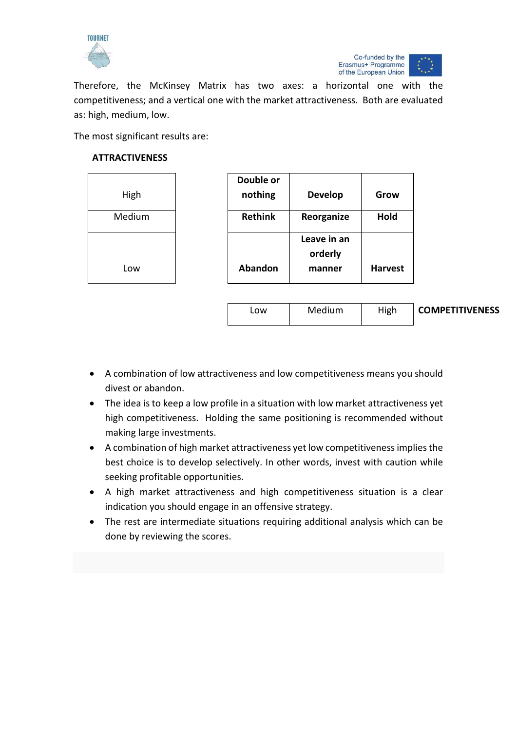



Therefore, the McKinsey Matrix has two axes: a horizontal one with the competitiveness; and a vertical one with the market attractiveness. Both are evaluated as: high, medium, low.

The most significant results are:

# **ATTRACTIVENESS**

| High   | Double or<br>nothing | <b>Develop</b>                   | Grow           |                        |
|--------|----------------------|----------------------------------|----------------|------------------------|
| Medium | <b>Rethink</b>       | Reorganize                       | Hold           |                        |
| Low    | Abandon              | Leave in an<br>orderly<br>manner | <b>Harvest</b> |                        |
|        | Low                  | Medium                           | High           | <b>COMPETITIVENESS</b> |

- A combination of low attractiveness and low competitiveness means you should divest or abandon.
- The idea is to keep a low profile in a situation with low market attractiveness yet high competitiveness. Holding the same positioning is recommended without making large investments.
- A combination of high market attractiveness yet low competitiveness implies the best choice is to develop selectively. In other words, invest with caution while seeking profitable opportunities.
- A high market attractiveness and high competitiveness situation is a clear indication you should engage in an offensive strategy.
- The rest are intermediate situations requiring additional analysis which can be done by reviewing the scores.